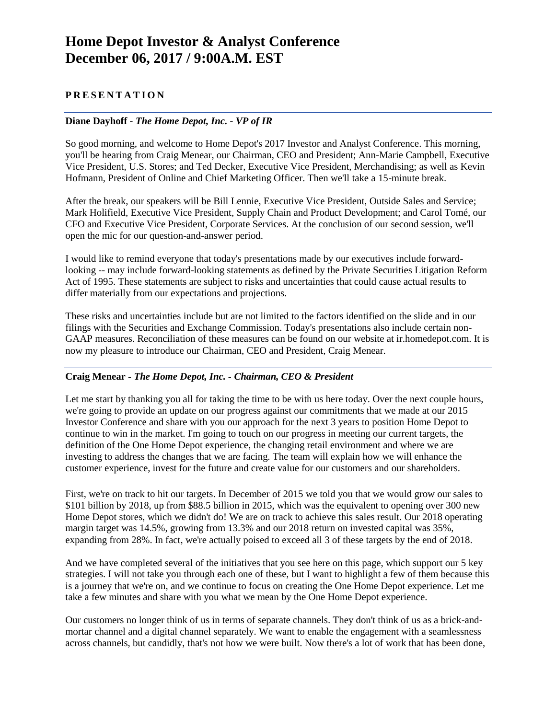# **Home Depot Investor & Analyst Conference December 06, 2017 / 9:00A.M. EST**

# **P R E S E N T A T I O N**

# **Diane Dayhoff** *- The Home Depot, Inc. - VP of IR*

So good morning, and welcome to Home Depot's 2017 Investor and Analyst Conference. This morning, you'll be hearing from Craig Menear, our Chairman, CEO and President; Ann-Marie Campbell, Executive Vice President, U.S. Stores; and Ted Decker, Executive Vice President, Merchandising; as well as Kevin Hofmann, President of Online and Chief Marketing Officer. Then we'll take a 15-minute break.

After the break, our speakers will be Bill Lennie, Executive Vice President, Outside Sales and Service; Mark Holifield, Executive Vice President, Supply Chain and Product Development; and Carol Tomé, our CFO and Executive Vice President, Corporate Services. At the conclusion of our second session, we'll open the mic for our question-and-answer period.

I would like to remind everyone that today's presentations made by our executives include forwardlooking -- may include forward-looking statements as defined by the Private Securities Litigation Reform Act of 1995. These statements are subject to risks and uncertainties that could cause actual results to differ materially from our expectations and projections.

These risks and uncertainties include but are not limited to the factors identified on the slide and in our filings with the Securities and Exchange Commission. Today's presentations also include certain non-GAAP measures. Reconciliation of these measures can be found on our website at ir.homedepot.com. It is now my pleasure to introduce our Chairman, CEO and President, Craig Menear.

## **Craig Menear** *- The Home Depot, Inc. - Chairman, CEO & President*

Let me start by thanking you all for taking the time to be with us here today. Over the next couple hours, we're going to provide an update on our progress against our commitments that we made at our 2015 Investor Conference and share with you our approach for the next 3 years to position Home Depot to continue to win in the market. I'm going to touch on our progress in meeting our current targets, the definition of the One Home Depot experience, the changing retail environment and where we are investing to address the changes that we are facing. The team will explain how we will enhance the customer experience, invest for the future and create value for our customers and our shareholders.

First, we're on track to hit our targets. In December of 2015 we told you that we would grow our sales to \$101 billion by 2018, up from \$88.5 billion in 2015, which was the equivalent to opening over 300 new Home Depot stores, which we didn't do! We are on track to achieve this sales result. Our 2018 operating margin target was 14.5%, growing from 13.3% and our 2018 return on invested capital was 35%, expanding from 28%. In fact, we're actually poised to exceed all 3 of these targets by the end of 2018.

And we have completed several of the initiatives that you see here on this page, which support our 5 key strategies. I will not take you through each one of these, but I want to highlight a few of them because this is a journey that we're on, and we continue to focus on creating the One Home Depot experience. Let me take a few minutes and share with you what we mean by the One Home Depot experience.

Our customers no longer think of us in terms of separate channels. They don't think of us as a brick-andmortar channel and a digital channel separately. We want to enable the engagement with a seamlessness across channels, but candidly, that's not how we were built. Now there's a lot of work that has been done,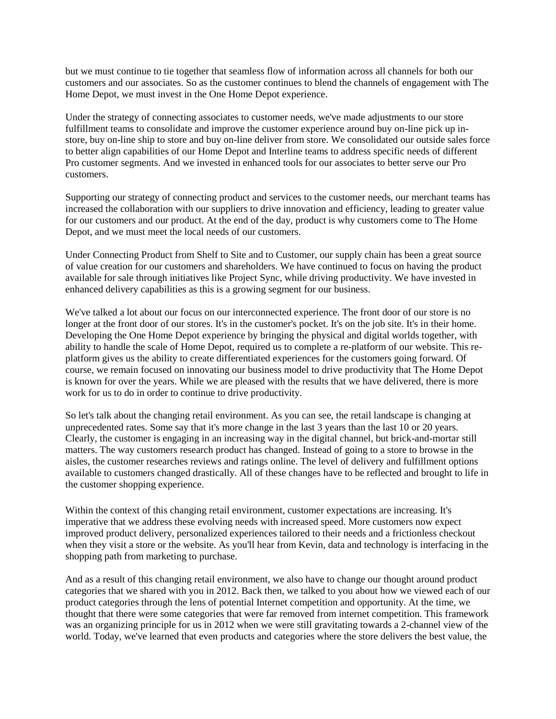but we must continue to tie together that seamless flow of information across all channels for both our customers and our associates. So as the customer continues to blend the channels of engagement with The Home Depot, we must invest in the One Home Depot experience.

Under the strategy of connecting associates to customer needs, we've made adjustments to our store fulfillment teams to consolidate and improve the customer experience around buy on-line pick up instore, buy on-line ship to store and buy on-line deliver from store. We consolidated our outside sales force to better align capabilities of our Home Depot and Interline teams to address specific needs of different Pro customer segments. And we invested in enhanced tools for our associates to better serve our Pro customers.

Supporting our strategy of connecting product and services to the customer needs, our merchant teams has increased the collaboration with our suppliers to drive innovation and efficiency, leading to greater value for our customers and our product. At the end of the day, product is why customers come to The Home Depot, and we must meet the local needs of our customers.

Under Connecting Product from Shelf to Site and to Customer, our supply chain has been a great source of value creation for our customers and shareholders. We have continued to focus on having the product available for sale through initiatives like Project Sync, while driving productivity. We have invested in enhanced delivery capabilities as this is a growing segment for our business.

We've talked a lot about our focus on our interconnected experience. The front door of our store is no longer at the front door of our stores. It's in the customer's pocket. It's on the job site. It's in their home. Developing the One Home Depot experience by bringing the physical and digital worlds together, with ability to handle the scale of Home Depot, required us to complete a re-platform of our website. This replatform gives us the ability to create differentiated experiences for the customers going forward. Of course, we remain focused on innovating our business model to drive productivity that The Home Depot is known for over the years. While we are pleased with the results that we have delivered, there is more work for us to do in order to continue to drive productivity.

So let's talk about the changing retail environment. As you can see, the retail landscape is changing at unprecedented rates. Some say that it's more change in the last 3 years than the last 10 or 20 years. Clearly, the customer is engaging in an increasing way in the digital channel, but brick-and-mortar still matters. The way customers research product has changed. Instead of going to a store to browse in the aisles, the customer researches reviews and ratings online. The level of delivery and fulfillment options available to customers changed drastically. All of these changes have to be reflected and brought to life in the customer shopping experience.

Within the context of this changing retail environment, customer expectations are increasing. It's imperative that we address these evolving needs with increased speed. More customers now expect improved product delivery, personalized experiences tailored to their needs and a frictionless checkout when they visit a store or the website. As you'll hear from Kevin, data and technology is interfacing in the shopping path from marketing to purchase.

And as a result of this changing retail environment, we also have to change our thought around product categories that we shared with you in 2012. Back then, we talked to you about how we viewed each of our product categories through the lens of potential Internet competition and opportunity. At the time, we thought that there were some categories that were far removed from internet competition. This framework was an organizing principle for us in 2012 when we were still gravitating towards a 2-channel view of the world. Today, we've learned that even products and categories where the store delivers the best value, the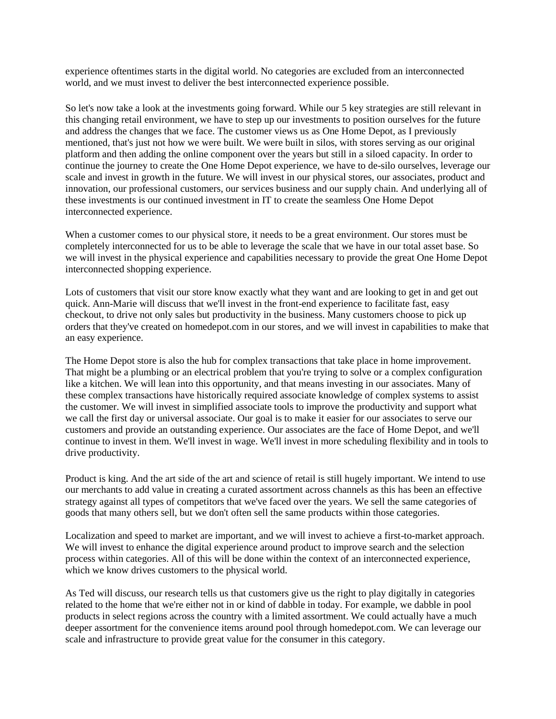experience oftentimes starts in the digital world. No categories are excluded from an interconnected world, and we must invest to deliver the best interconnected experience possible.

So let's now take a look at the investments going forward. While our 5 key strategies are still relevant in this changing retail environment, we have to step up our investments to position ourselves for the future and address the changes that we face. The customer views us as One Home Depot, as I previously mentioned, that's just not how we were built. We were built in silos, with stores serving as our original platform and then adding the online component over the years but still in a siloed capacity. In order to continue the journey to create the One Home Depot experience, we have to de-silo ourselves, leverage our scale and invest in growth in the future. We will invest in our physical stores, our associates, product and innovation, our professional customers, our services business and our supply chain. And underlying all of these investments is our continued investment in IT to create the seamless One Home Depot interconnected experience.

When a customer comes to our physical store, it needs to be a great environment. Our stores must be completely interconnected for us to be able to leverage the scale that we have in our total asset base. So we will invest in the physical experience and capabilities necessary to provide the great One Home Depot interconnected shopping experience.

Lots of customers that visit our store know exactly what they want and are looking to get in and get out quick. Ann-Marie will discuss that we'll invest in the front-end experience to facilitate fast, easy checkout, to drive not only sales but productivity in the business. Many customers choose to pick up orders that they've created on homedepot.com in our stores, and we will invest in capabilities to make that an easy experience.

The Home Depot store is also the hub for complex transactions that take place in home improvement. That might be a plumbing or an electrical problem that you're trying to solve or a complex configuration like a kitchen. We will lean into this opportunity, and that means investing in our associates. Many of these complex transactions have historically required associate knowledge of complex systems to assist the customer. We will invest in simplified associate tools to improve the productivity and support what we call the first day or universal associate. Our goal is to make it easier for our associates to serve our customers and provide an outstanding experience. Our associates are the face of Home Depot, and we'll continue to invest in them. We'll invest in wage. We'll invest in more scheduling flexibility and in tools to drive productivity.

Product is king. And the art side of the art and science of retail is still hugely important. We intend to use our merchants to add value in creating a curated assortment across channels as this has been an effective strategy against all types of competitors that we've faced over the years. We sell the same categories of goods that many others sell, but we don't often sell the same products within those categories.

Localization and speed to market are important, and we will invest to achieve a first-to-market approach. We will invest to enhance the digital experience around product to improve search and the selection process within categories. All of this will be done within the context of an interconnected experience, which we know drives customers to the physical world.

As Ted will discuss, our research tells us that customers give us the right to play digitally in categories related to the home that we're either not in or kind of dabble in today. For example, we dabble in pool products in select regions across the country with a limited assortment. We could actually have a much deeper assortment for the convenience items around pool through homedepot.com. We can leverage our scale and infrastructure to provide great value for the consumer in this category.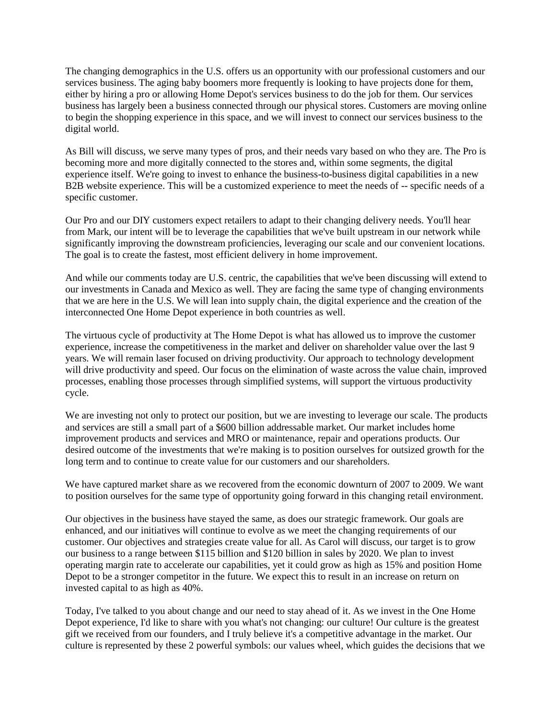The changing demographics in the U.S. offers us an opportunity with our professional customers and our services business. The aging baby boomers more frequently is looking to have projects done for them, either by hiring a pro or allowing Home Depot's services business to do the job for them. Our services business has largely been a business connected through our physical stores. Customers are moving online to begin the shopping experience in this space, and we will invest to connect our services business to the digital world.

As Bill will discuss, we serve many types of pros, and their needs vary based on who they are. The Pro is becoming more and more digitally connected to the stores and, within some segments, the digital experience itself. We're going to invest to enhance the business-to-business digital capabilities in a new B2B website experience. This will be a customized experience to meet the needs of -- specific needs of a specific customer.

Our Pro and our DIY customers expect retailers to adapt to their changing delivery needs. You'll hear from Mark, our intent will be to leverage the capabilities that we've built upstream in our network while significantly improving the downstream proficiencies, leveraging our scale and our convenient locations. The goal is to create the fastest, most efficient delivery in home improvement.

And while our comments today are U.S. centric, the capabilities that we've been discussing will extend to our investments in Canada and Mexico as well. They are facing the same type of changing environments that we are here in the U.S. We will lean into supply chain, the digital experience and the creation of the interconnected One Home Depot experience in both countries as well.

The virtuous cycle of productivity at The Home Depot is what has allowed us to improve the customer experience, increase the competitiveness in the market and deliver on shareholder value over the last 9 years. We will remain laser focused on driving productivity. Our approach to technology development will drive productivity and speed. Our focus on the elimination of waste across the value chain, improved processes, enabling those processes through simplified systems, will support the virtuous productivity cycle.

We are investing not only to protect our position, but we are investing to leverage our scale. The products and services are still a small part of a \$600 billion addressable market. Our market includes home improvement products and services and MRO or maintenance, repair and operations products. Our desired outcome of the investments that we're making is to position ourselves for outsized growth for the long term and to continue to create value for our customers and our shareholders.

We have captured market share as we recovered from the economic downturn of 2007 to 2009. We want to position ourselves for the same type of opportunity going forward in this changing retail environment.

Our objectives in the business have stayed the same, as does our strategic framework. Our goals are enhanced, and our initiatives will continue to evolve as we meet the changing requirements of our customer. Our objectives and strategies create value for all. As Carol will discuss, our target is to grow our business to a range between \$115 billion and \$120 billion in sales by 2020. We plan to invest operating margin rate to accelerate our capabilities, yet it could grow as high as 15% and position Home Depot to be a stronger competitor in the future. We expect this to result in an increase on return on invested capital to as high as 40%.

Today, I've talked to you about change and our need to stay ahead of it. As we invest in the One Home Depot experience, I'd like to share with you what's not changing: our culture! Our culture is the greatest gift we received from our founders, and I truly believe it's a competitive advantage in the market. Our culture is represented by these 2 powerful symbols: our values wheel, which guides the decisions that we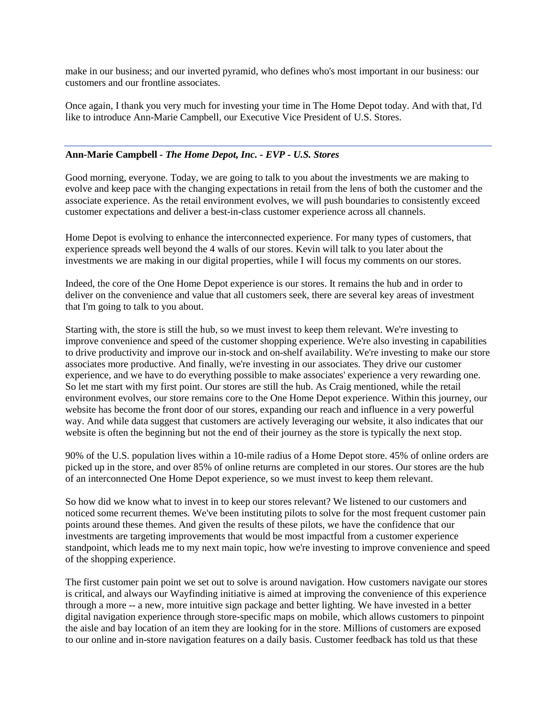make in our business; and our inverted pyramid, who defines who's most important in our business: our customers and our frontline associates.

Once again, I thank you very much for investing your time in The Home Depot today. And with that, I'd like to introduce Ann-Marie Campbell, our Executive Vice President of U.S. Stores.

## **Ann-Marie Campbell** *- The Home Depot, Inc. - EVP - U.S. Stores*

Good morning, everyone. Today, we are going to talk to you about the investments we are making to evolve and keep pace with the changing expectations in retail from the lens of both the customer and the associate experience. As the retail environment evolves, we will push boundaries to consistently exceed customer expectations and deliver a best-in-class customer experience across all channels.

Home Depot is evolving to enhance the interconnected experience. For many types of customers, that experience spreads well beyond the 4 walls of our stores. Kevin will talk to you later about the investments we are making in our digital properties, while I will focus my comments on our stores.

Indeed, the core of the One Home Depot experience is our stores. It remains the hub and in order to deliver on the convenience and value that all customers seek, there are several key areas of investment that I'm going to talk to you about.

Starting with, the store is still the hub, so we must invest to keep them relevant. We're investing to improve convenience and speed of the customer shopping experience. We're also investing in capabilities to drive productivity and improve our in-stock and on-shelf availability. We're investing to make our store associates more productive. And finally, we're investing in our associates. They drive our customer experience, and we have to do everything possible to make associates' experience a very rewarding one. So let me start with my first point. Our stores are still the hub. As Craig mentioned, while the retail environment evolves, our store remains core to the One Home Depot experience. Within this journey, our website has become the front door of our stores, expanding our reach and influence in a very powerful way. And while data suggest that customers are actively leveraging our website, it also indicates that our website is often the beginning but not the end of their journey as the store is typically the next stop.

90% of the U.S. population lives within a 10-mile radius of a Home Depot store. 45% of online orders are picked up in the store, and over 85% of online returns are completed in our stores. Our stores are the hub of an interconnected One Home Depot experience, so we must invest to keep them relevant.

So how did we know what to invest in to keep our stores relevant? We listened to our customers and noticed some recurrent themes. We've been instituting pilots to solve for the most frequent customer pain points around these themes. And given the results of these pilots, we have the confidence that our investments are targeting improvements that would be most impactful from a customer experience standpoint, which leads me to my next main topic, how we're investing to improve convenience and speed of the shopping experience.

The first customer pain point we set out to solve is around navigation. How customers navigate our stores is critical, and always our Wayfinding initiative is aimed at improving the convenience of this experience through a more -- a new, more intuitive sign package and better lighting. We have invested in a better digital navigation experience through store-specific maps on mobile, which allows customers to pinpoint the aisle and bay location of an item they are looking for in the store. Millions of customers are exposed to our online and in-store navigation features on a daily basis. Customer feedback has told us that these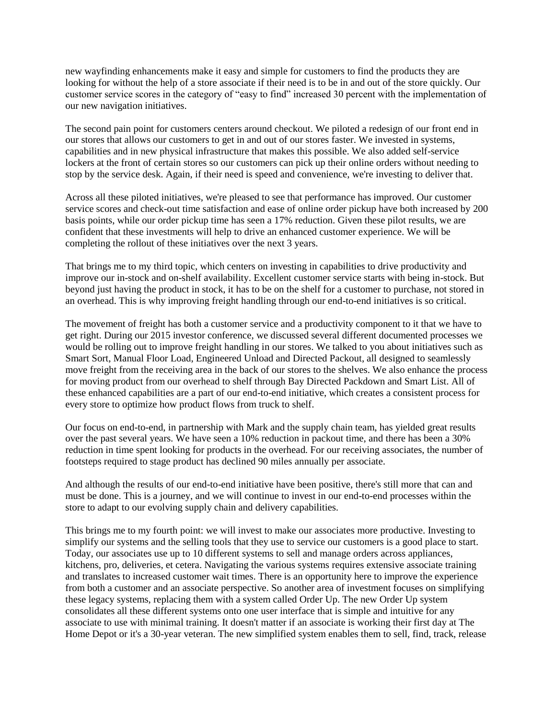new wayfinding enhancements make it easy and simple for customers to find the products they are looking for without the help of a store associate if their need is to be in and out of the store quickly. Our customer service scores in the category of "easy to find" increased 30 percent with the implementation of our new navigation initiatives.

The second pain point for customers centers around checkout. We piloted a redesign of our front end in our stores that allows our customers to get in and out of our stores faster. We invested in systems, capabilities and in new physical infrastructure that makes this possible. We also added self-service lockers at the front of certain stores so our customers can pick up their online orders without needing to stop by the service desk. Again, if their need is speed and convenience, we're investing to deliver that.

Across all these piloted initiatives, we're pleased to see that performance has improved. Our customer service scores and check-out time satisfaction and ease of online order pickup have both increased by 200 basis points, while our order pickup time has seen a 17% reduction. Given these pilot results, we are confident that these investments will help to drive an enhanced customer experience. We will be completing the rollout of these initiatives over the next 3 years.

That brings me to my third topic, which centers on investing in capabilities to drive productivity and improve our in-stock and on-shelf availability. Excellent customer service starts with being in-stock. But beyond just having the product in stock, it has to be on the shelf for a customer to purchase, not stored in an overhead. This is why improving freight handling through our end-to-end initiatives is so critical.

The movement of freight has both a customer service and a productivity component to it that we have to get right. During our 2015 investor conference, we discussed several different documented processes we would be rolling out to improve freight handling in our stores. We talked to you about initiatives such as Smart Sort, Manual Floor Load, Engineered Unload and Directed Packout, all designed to seamlessly move freight from the receiving area in the back of our stores to the shelves. We also enhance the process for moving product from our overhead to shelf through Bay Directed Packdown and Smart List. All of these enhanced capabilities are a part of our end-to-end initiative, which creates a consistent process for every store to optimize how product flows from truck to shelf.

Our focus on end-to-end, in partnership with Mark and the supply chain team, has yielded great results over the past several years. We have seen a 10% reduction in packout time, and there has been a 30% reduction in time spent looking for products in the overhead. For our receiving associates, the number of footsteps required to stage product has declined 90 miles annually per associate.

And although the results of our end-to-end initiative have been positive, there's still more that can and must be done. This is a journey, and we will continue to invest in our end-to-end processes within the store to adapt to our evolving supply chain and delivery capabilities.

This brings me to my fourth point: we will invest to make our associates more productive. Investing to simplify our systems and the selling tools that they use to service our customers is a good place to start. Today, our associates use up to 10 different systems to sell and manage orders across appliances, kitchens, pro, deliveries, et cetera. Navigating the various systems requires extensive associate training and translates to increased customer wait times. There is an opportunity here to improve the experience from both a customer and an associate perspective. So another area of investment focuses on simplifying these legacy systems, replacing them with a system called Order Up. The new Order Up system consolidates all these different systems onto one user interface that is simple and intuitive for any associate to use with minimal training. It doesn't matter if an associate is working their first day at The Home Depot or it's a 30-year veteran. The new simplified system enables them to sell, find, track, release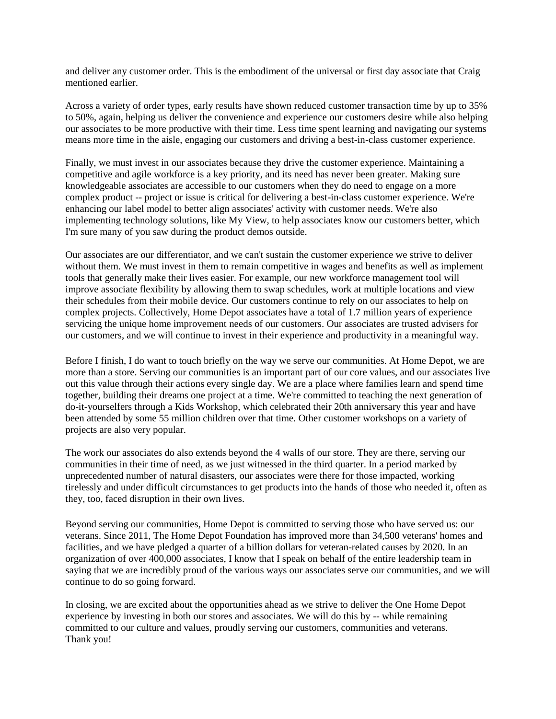and deliver any customer order. This is the embodiment of the universal or first day associate that Craig mentioned earlier.

Across a variety of order types, early results have shown reduced customer transaction time by up to 35% to 50%, again, helping us deliver the convenience and experience our customers desire while also helping our associates to be more productive with their time. Less time spent learning and navigating our systems means more time in the aisle, engaging our customers and driving a best-in-class customer experience.

Finally, we must invest in our associates because they drive the customer experience. Maintaining a competitive and agile workforce is a key priority, and its need has never been greater. Making sure knowledgeable associates are accessible to our customers when they do need to engage on a more complex product -- project or issue is critical for delivering a best-in-class customer experience. We're enhancing our label model to better align associates' activity with customer needs. We're also implementing technology solutions, like My View, to help associates know our customers better, which I'm sure many of you saw during the product demos outside.

Our associates are our differentiator, and we can't sustain the customer experience we strive to deliver without them. We must invest in them to remain competitive in wages and benefits as well as implement tools that generally make their lives easier. For example, our new workforce management tool will improve associate flexibility by allowing them to swap schedules, work at multiple locations and view their schedules from their mobile device. Our customers continue to rely on our associates to help on complex projects. Collectively, Home Depot associates have a total of 1.7 million years of experience servicing the unique home improvement needs of our customers. Our associates are trusted advisers for our customers, and we will continue to invest in their experience and productivity in a meaningful way.

Before I finish, I do want to touch briefly on the way we serve our communities. At Home Depot, we are more than a store. Serving our communities is an important part of our core values, and our associates live out this value through their actions every single day. We are a place where families learn and spend time together, building their dreams one project at a time. We're committed to teaching the next generation of do-it-yourselfers through a Kids Workshop, which celebrated their 20th anniversary this year and have been attended by some 55 million children over that time. Other customer workshops on a variety of projects are also very popular.

The work our associates do also extends beyond the 4 walls of our store. They are there, serving our communities in their time of need, as we just witnessed in the third quarter. In a period marked by unprecedented number of natural disasters, our associates were there for those impacted, working tirelessly and under difficult circumstances to get products into the hands of those who needed it, often as they, too, faced disruption in their own lives.

Beyond serving our communities, Home Depot is committed to serving those who have served us: our veterans. Since 2011, The Home Depot Foundation has improved more than 34,500 veterans' homes and facilities, and we have pledged a quarter of a billion dollars for veteran-related causes by 2020. In an organization of over 400,000 associates, I know that I speak on behalf of the entire leadership team in saying that we are incredibly proud of the various ways our associates serve our communities, and we will continue to do so going forward.

In closing, we are excited about the opportunities ahead as we strive to deliver the One Home Depot experience by investing in both our stores and associates. We will do this by -- while remaining committed to our culture and values, proudly serving our customers, communities and veterans. Thank you!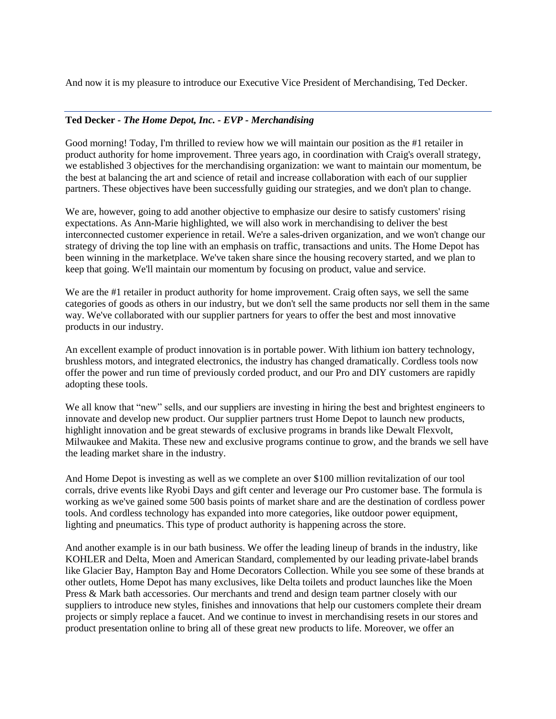And now it is my pleasure to introduce our Executive Vice President of Merchandising, Ted Decker.

## **Ted Decker** *- The Home Depot, Inc. - EVP - Merchandising*

Good morning! Today, I'm thrilled to review how we will maintain our position as the #1 retailer in product authority for home improvement. Three years ago, in coordination with Craig's overall strategy, we established 3 objectives for the merchandising organization: we want to maintain our momentum, be the best at balancing the art and science of retail and increase collaboration with each of our supplier partners. These objectives have been successfully guiding our strategies, and we don't plan to change.

We are, however, going to add another objective to emphasize our desire to satisfy customers' rising expectations. As Ann-Marie highlighted, we will also work in merchandising to deliver the best interconnected customer experience in retail. We're a sales-driven organization, and we won't change our strategy of driving the top line with an emphasis on traffic, transactions and units. The Home Depot has been winning in the marketplace. We've taken share since the housing recovery started, and we plan to keep that going. We'll maintain our momentum by focusing on product, value and service.

We are the #1 retailer in product authority for home improvement. Craig often says, we sell the same categories of goods as others in our industry, but we don't sell the same products nor sell them in the same way. We've collaborated with our supplier partners for years to offer the best and most innovative products in our industry.

An excellent example of product innovation is in portable power. With lithium ion battery technology, brushless motors, and integrated electronics, the industry has changed dramatically. Cordless tools now offer the power and run time of previously corded product, and our Pro and DIY customers are rapidly adopting these tools.

We all know that "new" sells, and our suppliers are investing in hiring the best and brightest engineers to innovate and develop new product. Our supplier partners trust Home Depot to launch new products, highlight innovation and be great stewards of exclusive programs in brands like Dewalt Flexvolt, Milwaukee and Makita. These new and exclusive programs continue to grow, and the brands we sell have the leading market share in the industry.

And Home Depot is investing as well as we complete an over \$100 million revitalization of our tool corrals, drive events like Ryobi Days and gift center and leverage our Pro customer base. The formula is working as we've gained some 500 basis points of market share and are the destination of cordless power tools. And cordless technology has expanded into more categories, like outdoor power equipment, lighting and pneumatics. This type of product authority is happening across the store.

And another example is in our bath business. We offer the leading lineup of brands in the industry, like KOHLER and Delta, Moen and American Standard, complemented by our leading private-label brands like Glacier Bay, Hampton Bay and Home Decorators Collection. While you see some of these brands at other outlets, Home Depot has many exclusives, like Delta toilets and product launches like the Moen Press & Mark bath accessories. Our merchants and trend and design team partner closely with our suppliers to introduce new styles, finishes and innovations that help our customers complete their dream projects or simply replace a faucet. And we continue to invest in merchandising resets in our stores and product presentation online to bring all of these great new products to life. Moreover, we offer an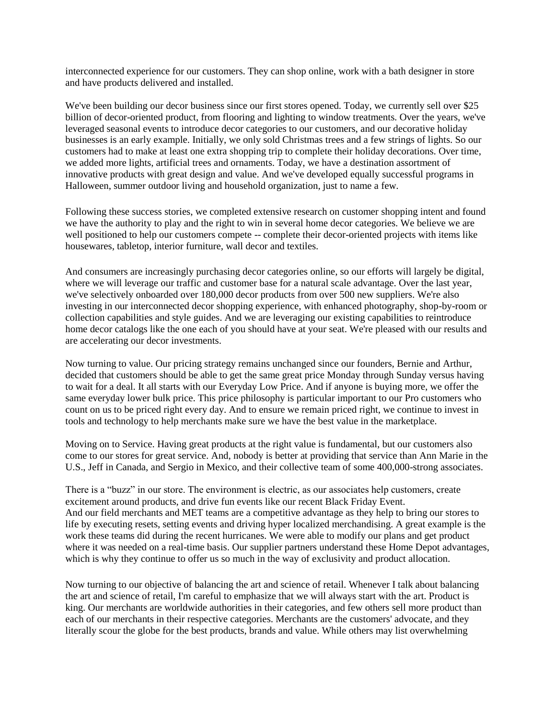interconnected experience for our customers. They can shop online, work with a bath designer in store and have products delivered and installed.

We've been building our decor business since our first stores opened. Today, we currently sell over \$25 billion of decor-oriented product, from flooring and lighting to window treatments. Over the years, we've leveraged seasonal events to introduce decor categories to our customers, and our decorative holiday businesses is an early example. Initially, we only sold Christmas trees and a few strings of lights. So our customers had to make at least one extra shopping trip to complete their holiday decorations. Over time, we added more lights, artificial trees and ornaments. Today, we have a destination assortment of innovative products with great design and value. And we've developed equally successful programs in Halloween, summer outdoor living and household organization, just to name a few.

Following these success stories, we completed extensive research on customer shopping intent and found we have the authority to play and the right to win in several home decor categories. We believe we are well positioned to help our customers compete -- complete their decor-oriented projects with items like housewares, tabletop, interior furniture, wall decor and textiles.

And consumers are increasingly purchasing decor categories online, so our efforts will largely be digital, where we will leverage our traffic and customer base for a natural scale advantage. Over the last year, we've selectively onboarded over 180,000 decor products from over 500 new suppliers. We're also investing in our interconnected decor shopping experience, with enhanced photography, shop-by-room or collection capabilities and style guides. And we are leveraging our existing capabilities to reintroduce home decor catalogs like the one each of you should have at your seat. We're pleased with our results and are accelerating our decor investments.

Now turning to value. Our pricing strategy remains unchanged since our founders, Bernie and Arthur, decided that customers should be able to get the same great price Monday through Sunday versus having to wait for a deal. It all starts with our Everyday Low Price. And if anyone is buying more, we offer the same everyday lower bulk price. This price philosophy is particular important to our Pro customers who count on us to be priced right every day. And to ensure we remain priced right, we continue to invest in tools and technology to help merchants make sure we have the best value in the marketplace.

Moving on to Service. Having great products at the right value is fundamental, but our customers also come to our stores for great service. And, nobody is better at providing that service than Ann Marie in the U.S., Jeff in Canada, and Sergio in Mexico, and their collective team of some 400,000-strong associates.

There is a "buzz" in our store. The environment is electric, as our associates help customers, create excitement around products, and drive fun events like our recent Black Friday Event. And our field merchants and MET teams are a competitive advantage as they help to bring our stores to life by executing resets, setting events and driving hyper localized merchandising. A great example is the work these teams did during the recent hurricanes. We were able to modify our plans and get product where it was needed on a real-time basis. Our supplier partners understand these Home Depot advantages, which is why they continue to offer us so much in the way of exclusivity and product allocation.

Now turning to our objective of balancing the art and science of retail. Whenever I talk about balancing the art and science of retail, I'm careful to emphasize that we will always start with the art. Product is king. Our merchants are worldwide authorities in their categories, and few others sell more product than each of our merchants in their respective categories. Merchants are the customers' advocate, and they literally scour the globe for the best products, brands and value. While others may list overwhelming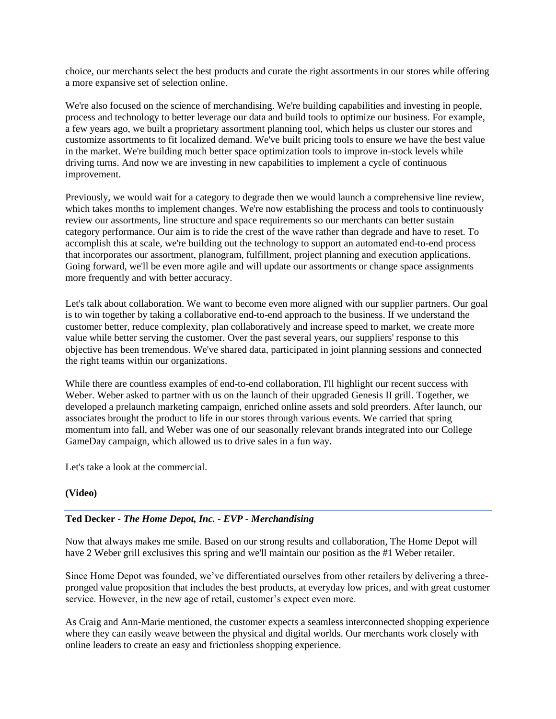choice, our merchants select the best products and curate the right assortments in our stores while offering a more expansive set of selection online.

We're also focused on the science of merchandising. We're building capabilities and investing in people, process and technology to better leverage our data and build tools to optimize our business. For example, a few years ago, we built a proprietary assortment planning tool, which helps us cluster our stores and customize assortments to fit localized demand. We've built pricing tools to ensure we have the best value in the market. We're building much better space optimization tools to improve in-stock levels while driving turns. And now we are investing in new capabilities to implement a cycle of continuous improvement.

Previously, we would wait for a category to degrade then we would launch a comprehensive line review, which takes months to implement changes. We're now establishing the process and tools to continuously review our assortments, line structure and space requirements so our merchants can better sustain category performance. Our aim is to ride the crest of the wave rather than degrade and have to reset. To accomplish this at scale, we're building out the technology to support an automated end-to-end process that incorporates our assortment, planogram, fulfillment, project planning and execution applications. Going forward, we'll be even more agile and will update our assortments or change space assignments more frequently and with better accuracy.

Let's talk about collaboration. We want to become even more aligned with our supplier partners. Our goal is to win together by taking a collaborative end-to-end approach to the business. If we understand the customer better, reduce complexity, plan collaboratively and increase speed to market, we create more value while better serving the customer. Over the past several years, our suppliers' response to this objective has been tremendous. We've shared data, participated in joint planning sessions and connected the right teams within our organizations.

While there are countless examples of end-to-end collaboration, I'll highlight our recent success with Weber. Weber asked to partner with us on the launch of their upgraded Genesis II grill. Together, we developed a prelaunch marketing campaign, enriched online assets and sold preorders. After launch, our associates brought the product to life in our stores through various events. We carried that spring momentum into fall, and Weber was one of our seasonally relevant brands integrated into our College GameDay campaign, which allowed us to drive sales in a fun way.

Let's take a look at the commercial.

## **(Video)**

# **Ted Decker** *- The Home Depot, Inc. - EVP - Merchandising*

Now that always makes me smile. Based on our strong results and collaboration, The Home Depot will have 2 Weber grill exclusives this spring and we'll maintain our position as the #1 Weber retailer.

Since Home Depot was founded, we've differentiated ourselves from other retailers by delivering a threepronged value proposition that includes the best products, at everyday low prices, and with great customer service. However, in the new age of retail, customer's expect even more.

As Craig and Ann-Marie mentioned, the customer expects a seamless interconnected shopping experience where they can easily weave between the physical and digital worlds. Our merchants work closely with online leaders to create an easy and frictionless shopping experience.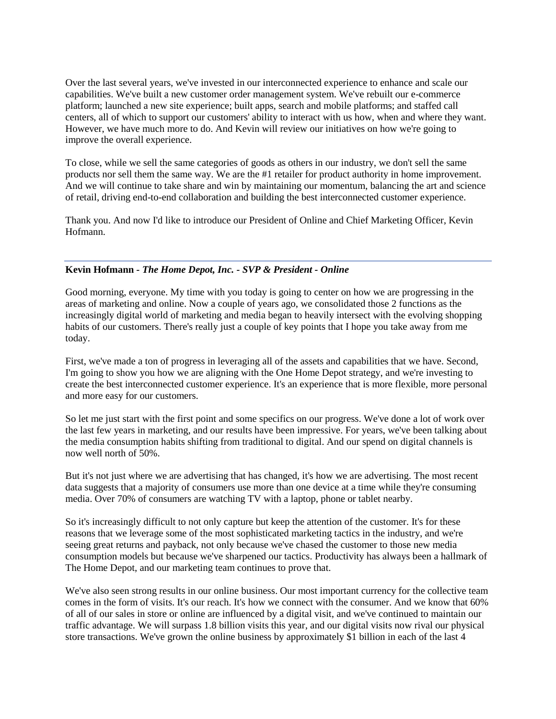Over the last several years, we've invested in our interconnected experience to enhance and scale our capabilities. We've built a new customer order management system. We've rebuilt our e-commerce platform; launched a new site experience; built apps, search and mobile platforms; and staffed call centers, all of which to support our customers' ability to interact with us how, when and where they want. However, we have much more to do. And Kevin will review our initiatives on how we're going to improve the overall experience.

To close, while we sell the same categories of goods as others in our industry, we don't sell the same products nor sell them the same way. We are the #1 retailer for product authority in home improvement. And we will continue to take share and win by maintaining our momentum, balancing the art and science of retail, driving end-to-end collaboration and building the best interconnected customer experience.

Thank you. And now I'd like to introduce our President of Online and Chief Marketing Officer, Kevin Hofmann.

## **Kevin Hofmann** *- The Home Depot, Inc. - SVP & President - Online*

Good morning, everyone. My time with you today is going to center on how we are progressing in the areas of marketing and online. Now a couple of years ago, we consolidated those 2 functions as the increasingly digital world of marketing and media began to heavily intersect with the evolving shopping habits of our customers. There's really just a couple of key points that I hope you take away from me today.

First, we've made a ton of progress in leveraging all of the assets and capabilities that we have. Second, I'm going to show you how we are aligning with the One Home Depot strategy, and we're investing to create the best interconnected customer experience. It's an experience that is more flexible, more personal and more easy for our customers.

So let me just start with the first point and some specifics on our progress. We've done a lot of work over the last few years in marketing, and our results have been impressive. For years, we've been talking about the media consumption habits shifting from traditional to digital. And our spend on digital channels is now well north of 50%.

But it's not just where we are advertising that has changed, it's how we are advertising. The most recent data suggests that a majority of consumers use more than one device at a time while they're consuming media. Over 70% of consumers are watching TV with a laptop, phone or tablet nearby.

So it's increasingly difficult to not only capture but keep the attention of the customer. It's for these reasons that we leverage some of the most sophisticated marketing tactics in the industry, and we're seeing great returns and payback, not only because we've chased the customer to those new media consumption models but because we've sharpened our tactics. Productivity has always been a hallmark of The Home Depot, and our marketing team continues to prove that.

We've also seen strong results in our online business. Our most important currency for the collective team comes in the form of visits. It's our reach. It's how we connect with the consumer. And we know that 60% of all of our sales in store or online are influenced by a digital visit, and we've continued to maintain our traffic advantage. We will surpass 1.8 billion visits this year, and our digital visits now rival our physical store transactions. We've grown the online business by approximately \$1 billion in each of the last 4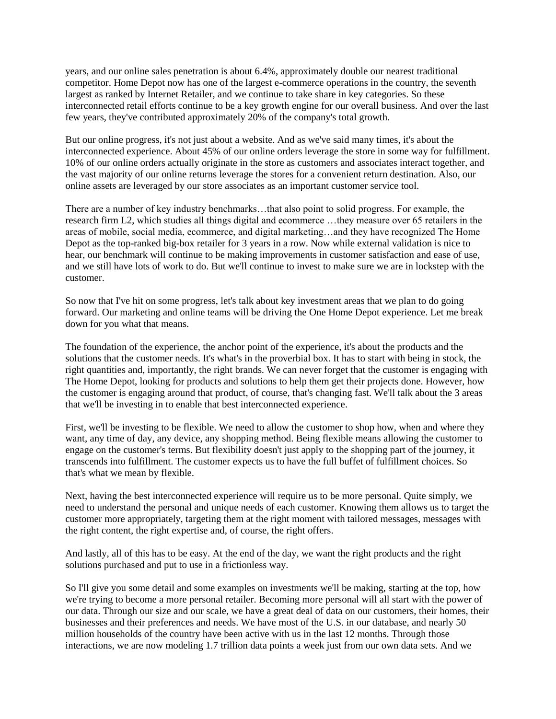years, and our online sales penetration is about 6.4%, approximately double our nearest traditional competitor. Home Depot now has one of the largest e-commerce operations in the country, the seventh largest as ranked by Internet Retailer, and we continue to take share in key categories. So these interconnected retail efforts continue to be a key growth engine for our overall business. And over the last few years, they've contributed approximately 20% of the company's total growth.

But our online progress, it's not just about a website. And as we've said many times, it's about the interconnected experience. About 45% of our online orders leverage the store in some way for fulfillment. 10% of our online orders actually originate in the store as customers and associates interact together, and the vast majority of our online returns leverage the stores for a convenient return destination. Also, our online assets are leveraged by our store associates as an important customer service tool.

There are a number of key industry benchmarks…that also point to solid progress. For example, the research firm L2, which studies all things digital and ecommerce …they measure over 65 retailers in the areas of mobile, social media, ecommerce, and digital marketing…and they have recognized The Home Depot as the top-ranked big-box retailer for 3 years in a row. Now while external validation is nice to hear, our benchmark will continue to be making improvements in customer satisfaction and ease of use, and we still have lots of work to do. But we'll continue to invest to make sure we are in lockstep with the customer.

So now that I've hit on some progress, let's talk about key investment areas that we plan to do going forward. Our marketing and online teams will be driving the One Home Depot experience. Let me break down for you what that means.

The foundation of the experience, the anchor point of the experience, it's about the products and the solutions that the customer needs. It's what's in the proverbial box. It has to start with being in stock, the right quantities and, importantly, the right brands. We can never forget that the customer is engaging with The Home Depot, looking for products and solutions to help them get their projects done. However, how the customer is engaging around that product, of course, that's changing fast. We'll talk about the 3 areas that we'll be investing in to enable that best interconnected experience.

First, we'll be investing to be flexible. We need to allow the customer to shop how, when and where they want, any time of day, any device, any shopping method. Being flexible means allowing the customer to engage on the customer's terms. But flexibility doesn't just apply to the shopping part of the journey, it transcends into fulfillment. The customer expects us to have the full buffet of fulfillment choices. So that's what we mean by flexible.

Next, having the best interconnected experience will require us to be more personal. Quite simply, we need to understand the personal and unique needs of each customer. Knowing them allows us to target the customer more appropriately, targeting them at the right moment with tailored messages, messages with the right content, the right expertise and, of course, the right offers.

And lastly, all of this has to be easy. At the end of the day, we want the right products and the right solutions purchased and put to use in a frictionless way.

So I'll give you some detail and some examples on investments we'll be making, starting at the top, how we're trying to become a more personal retailer. Becoming more personal will all start with the power of our data. Through our size and our scale, we have a great deal of data on our customers, their homes, their businesses and their preferences and needs. We have most of the U.S. in our database, and nearly 50 million households of the country have been active with us in the last 12 months. Through those interactions, we are now modeling 1.7 trillion data points a week just from our own data sets. And we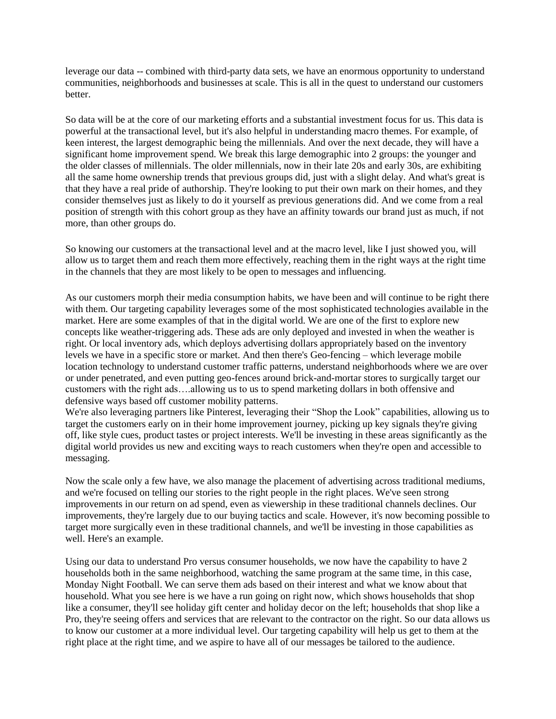leverage our data -- combined with third-party data sets, we have an enormous opportunity to understand communities, neighborhoods and businesses at scale. This is all in the quest to understand our customers better.

So data will be at the core of our marketing efforts and a substantial investment focus for us. This data is powerful at the transactional level, but it's also helpful in understanding macro themes. For example, of keen interest, the largest demographic being the millennials. And over the next decade, they will have a significant home improvement spend. We break this large demographic into 2 groups: the younger and the older classes of millennials. The older millennials, now in their late 20s and early 30s, are exhibiting all the same home ownership trends that previous groups did, just with a slight delay. And what's great is that they have a real pride of authorship. They're looking to put their own mark on their homes, and they consider themselves just as likely to do it yourself as previous generations did. And we come from a real position of strength with this cohort group as they have an affinity towards our brand just as much, if not more, than other groups do.

So knowing our customers at the transactional level and at the macro level, like I just showed you, will allow us to target them and reach them more effectively, reaching them in the right ways at the right time in the channels that they are most likely to be open to messages and influencing.

As our customers morph their media consumption habits, we have been and will continue to be right there with them. Our targeting capability leverages some of the most sophisticated technologies available in the market. Here are some examples of that in the digital world. We are one of the first to explore new concepts like weather-triggering ads. These ads are only deployed and invested in when the weather is right. Or local inventory ads, which deploys advertising dollars appropriately based on the inventory levels we have in a specific store or market. And then there's Geo-fencing – which leverage mobile location technology to understand customer traffic patterns, understand neighborhoods where we are over or under penetrated, and even putting geo-fences around brick-and-mortar stores to surgically target our customers with the right ads….allowing us to us to spend marketing dollars in both offensive and defensive ways based off customer mobility patterns.

We're also leveraging partners like Pinterest, leveraging their "Shop the Look" capabilities, allowing us to target the customers early on in their home improvement journey, picking up key signals they're giving off, like style cues, product tastes or project interests. We'll be investing in these areas significantly as the digital world provides us new and exciting ways to reach customers when they're open and accessible to messaging.

Now the scale only a few have, we also manage the placement of advertising across traditional mediums, and we're focused on telling our stories to the right people in the right places. We've seen strong improvements in our return on ad spend, even as viewership in these traditional channels declines. Our improvements, they're largely due to our buying tactics and scale. However, it's now becoming possible to target more surgically even in these traditional channels, and we'll be investing in those capabilities as well. Here's an example.

Using our data to understand Pro versus consumer households, we now have the capability to have 2 households both in the same neighborhood, watching the same program at the same time, in this case, Monday Night Football. We can serve them ads based on their interest and what we know about that household. What you see here is we have a run going on right now, which shows households that shop like a consumer, they'll see holiday gift center and holiday decor on the left; households that shop like a Pro, they're seeing offers and services that are relevant to the contractor on the right. So our data allows us to know our customer at a more individual level. Our targeting capability will help us get to them at the right place at the right time, and we aspire to have all of our messages be tailored to the audience.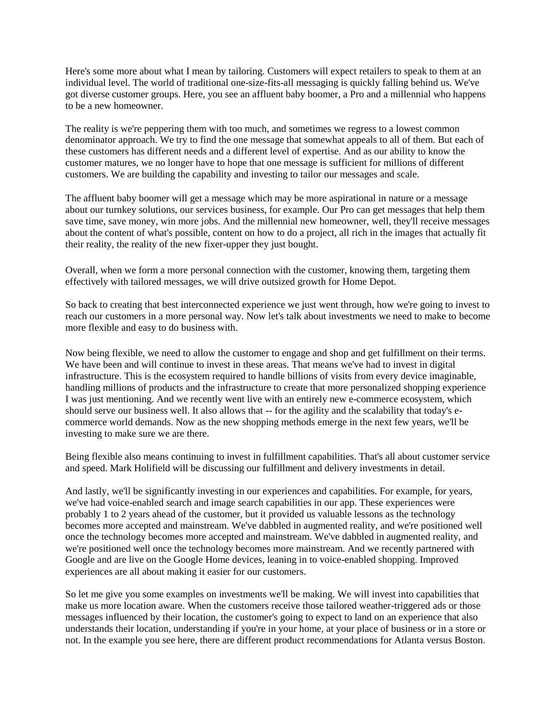Here's some more about what I mean by tailoring. Customers will expect retailers to speak to them at an individual level. The world of traditional one-size-fits-all messaging is quickly falling behind us. We've got diverse customer groups. Here, you see an affluent baby boomer, a Pro and a millennial who happens to be a new homeowner.

The reality is we're peppering them with too much, and sometimes we regress to a lowest common denominator approach. We try to find the one message that somewhat appeals to all of them. But each of these customers has different needs and a different level of expertise. And as our ability to know the customer matures, we no longer have to hope that one message is sufficient for millions of different customers. We are building the capability and investing to tailor our messages and scale.

The affluent baby boomer will get a message which may be more aspirational in nature or a message about our turnkey solutions, our services business, for example. Our Pro can get messages that help them save time, save money, win more jobs. And the millennial new homeowner, well, they'll receive messages about the content of what's possible, content on how to do a project, all rich in the images that actually fit their reality, the reality of the new fixer-upper they just bought.

Overall, when we form a more personal connection with the customer, knowing them, targeting them effectively with tailored messages, we will drive outsized growth for Home Depot.

So back to creating that best interconnected experience we just went through, how we're going to invest to reach our customers in a more personal way. Now let's talk about investments we need to make to become more flexible and easy to do business with.

Now being flexible, we need to allow the customer to engage and shop and get fulfillment on their terms. We have been and will continue to invest in these areas. That means we've had to invest in digital infrastructure. This is the ecosystem required to handle billions of visits from every device imaginable, handling millions of products and the infrastructure to create that more personalized shopping experience I was just mentioning. And we recently went live with an entirely new e-commerce ecosystem, which should serve our business well. It also allows that -- for the agility and the scalability that today's ecommerce world demands. Now as the new shopping methods emerge in the next few years, we'll be investing to make sure we are there.

Being flexible also means continuing to invest in fulfillment capabilities. That's all about customer service and speed. Mark Holifield will be discussing our fulfillment and delivery investments in detail.

And lastly, we'll be significantly investing in our experiences and capabilities. For example, for years, we've had voice-enabled search and image search capabilities in our app. These experiences were probably 1 to 2 years ahead of the customer, but it provided us valuable lessons as the technology becomes more accepted and mainstream. We've dabbled in augmented reality, and we're positioned well once the technology becomes more accepted and mainstream. We've dabbled in augmented reality, and we're positioned well once the technology becomes more mainstream. And we recently partnered with Google and are live on the Google Home devices, leaning in to voice-enabled shopping. Improved experiences are all about making it easier for our customers.

So let me give you some examples on investments we'll be making. We will invest into capabilities that make us more location aware. When the customers receive those tailored weather-triggered ads or those messages influenced by their location, the customer's going to expect to land on an experience that also understands their location, understanding if you're in your home, at your place of business or in a store or not. In the example you see here, there are different product recommendations for Atlanta versus Boston.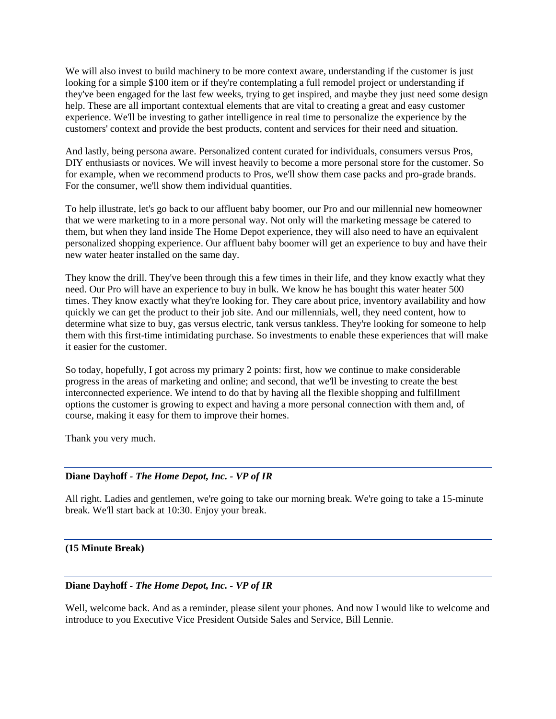We will also invest to build machinery to be more context aware, understanding if the customer is just looking for a simple \$100 item or if they're contemplating a full remodel project or understanding if they've been engaged for the last few weeks, trying to get inspired, and maybe they just need some design help. These are all important contextual elements that are vital to creating a great and easy customer experience. We'll be investing to gather intelligence in real time to personalize the experience by the customers' context and provide the best products, content and services for their need and situation.

And lastly, being persona aware. Personalized content curated for individuals, consumers versus Pros, DIY enthusiasts or novices. We will invest heavily to become a more personal store for the customer. So for example, when we recommend products to Pros, we'll show them case packs and pro-grade brands. For the consumer, we'll show them individual quantities.

To help illustrate, let's go back to our affluent baby boomer, our Pro and our millennial new homeowner that we were marketing to in a more personal way. Not only will the marketing message be catered to them, but when they land inside The Home Depot experience, they will also need to have an equivalent personalized shopping experience. Our affluent baby boomer will get an experience to buy and have their new water heater installed on the same day.

They know the drill. They've been through this a few times in their life, and they know exactly what they need. Our Pro will have an experience to buy in bulk. We know he has bought this water heater 500 times. They know exactly what they're looking for. They care about price, inventory availability and how quickly we can get the product to their job site. And our millennials, well, they need content, how to determine what size to buy, gas versus electric, tank versus tankless. They're looking for someone to help them with this first-time intimidating purchase. So investments to enable these experiences that will make it easier for the customer.

So today, hopefully, I got across my primary 2 points: first, how we continue to make considerable progress in the areas of marketing and online; and second, that we'll be investing to create the best interconnected experience. We intend to do that by having all the flexible shopping and fulfillment options the customer is growing to expect and having a more personal connection with them and, of course, making it easy for them to improve their homes.

Thank you very much.

## **Diane Dayhoff** *- The Home Depot, Inc. - VP of IR*

All right. Ladies and gentlemen, we're going to take our morning break. We're going to take a 15-minute break. We'll start back at 10:30. Enjoy your break.

## **(15 Minute Break)**

## **Diane Dayhoff** *- The Home Depot, Inc. - VP of IR*

Well, welcome back. And as a reminder, please silent your phones. And now I would like to welcome and introduce to you Executive Vice President Outside Sales and Service, Bill Lennie.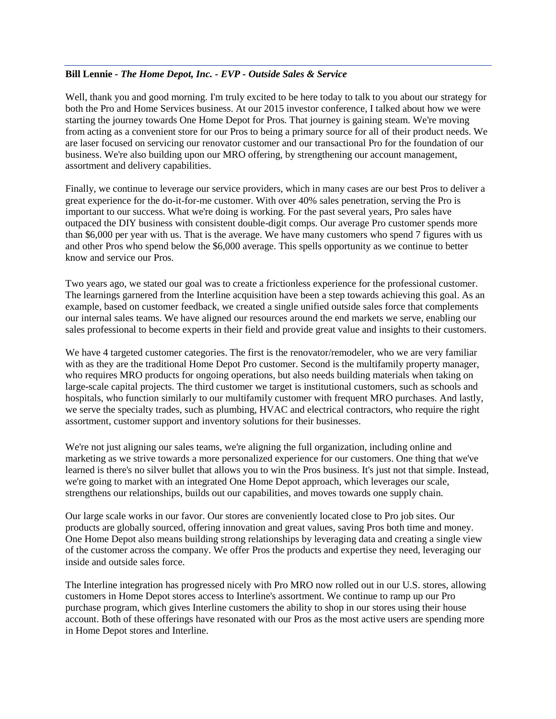# **Bill Lennie** *- The Home Depot, Inc. - EVP - Outside Sales & Service*

Well, thank you and good morning. I'm truly excited to be here today to talk to you about our strategy for both the Pro and Home Services business. At our 2015 investor conference, I talked about how we were starting the journey towards One Home Depot for Pros. That journey is gaining steam. We're moving from acting as a convenient store for our Pros to being a primary source for all of their product needs. We are laser focused on servicing our renovator customer and our transactional Pro for the foundation of our business. We're also building upon our MRO offering, by strengthening our account management, assortment and delivery capabilities.

Finally, we continue to leverage our service providers, which in many cases are our best Pros to deliver a great experience for the do-it-for-me customer. With over 40% sales penetration, serving the Pro is important to our success. What we're doing is working. For the past several years, Pro sales have outpaced the DIY business with consistent double-digit comps. Our average Pro customer spends more than \$6,000 per year with us. That is the average. We have many customers who spend 7 figures with us and other Pros who spend below the \$6,000 average. This spells opportunity as we continue to better know and service our Pros.

Two years ago, we stated our goal was to create a frictionless experience for the professional customer. The learnings garnered from the Interline acquisition have been a step towards achieving this goal. As an example, based on customer feedback, we created a single unified outside sales force that complements our internal sales teams. We have aligned our resources around the end markets we serve, enabling our sales professional to become experts in their field and provide great value and insights to their customers.

We have 4 targeted customer categories. The first is the renovator/remodeler, who we are very familiar with as they are the traditional Home Depot Pro customer. Second is the multifamily property manager, who requires MRO products for ongoing operations, but also needs building materials when taking on large-scale capital projects. The third customer we target is institutional customers, such as schools and hospitals, who function similarly to our multifamily customer with frequent MRO purchases. And lastly, we serve the specialty trades, such as plumbing, HVAC and electrical contractors, who require the right assortment, customer support and inventory solutions for their businesses.

We're not just aligning our sales teams, we're aligning the full organization, including online and marketing as we strive towards a more personalized experience for our customers. One thing that we've learned is there's no silver bullet that allows you to win the Pros business. It's just not that simple. Instead, we're going to market with an integrated One Home Depot approach, which leverages our scale, strengthens our relationships, builds out our capabilities, and moves towards one supply chain.

Our large scale works in our favor. Our stores are conveniently located close to Pro job sites. Our products are globally sourced, offering innovation and great values, saving Pros both time and money. One Home Depot also means building strong relationships by leveraging data and creating a single view of the customer across the company. We offer Pros the products and expertise they need, leveraging our inside and outside sales force.

The Interline integration has progressed nicely with Pro MRO now rolled out in our U.S. stores, allowing customers in Home Depot stores access to Interline's assortment. We continue to ramp up our Pro purchase program, which gives Interline customers the ability to shop in our stores using their house account. Both of these offerings have resonated with our Pros as the most active users are spending more in Home Depot stores and Interline.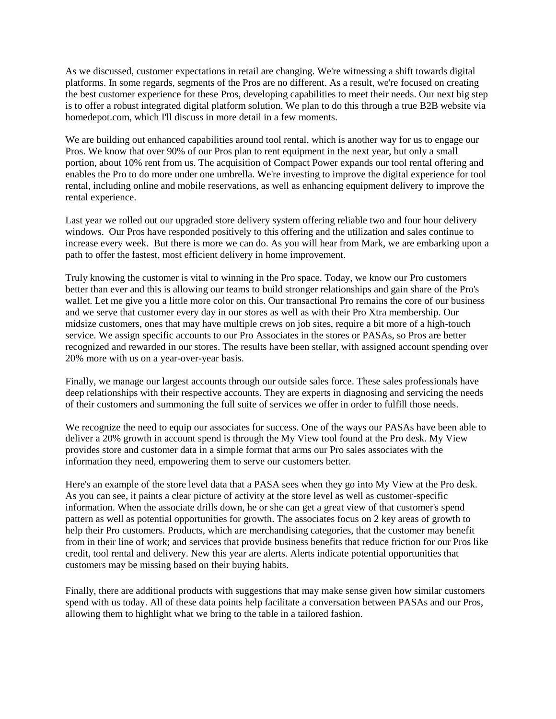As we discussed, customer expectations in retail are changing. We're witnessing a shift towards digital platforms. In some regards, segments of the Pros are no different. As a result, we're focused on creating the best customer experience for these Pros, developing capabilities to meet their needs. Our next big step is to offer a robust integrated digital platform solution. We plan to do this through a true B2B website via homedepot.com, which I'll discuss in more detail in a few moments.

We are building out enhanced capabilities around tool rental, which is another way for us to engage our Pros. We know that over 90% of our Pros plan to rent equipment in the next year, but only a small portion, about 10% rent from us. The acquisition of Compact Power expands our tool rental offering and enables the Pro to do more under one umbrella. We're investing to improve the digital experience for tool rental, including online and mobile reservations, as well as enhancing equipment delivery to improve the rental experience.

Last year we rolled out our upgraded store delivery system offering reliable two and four hour delivery windows. Our Pros have responded positively to this offering and the utilization and sales continue to increase every week. But there is more we can do. As you will hear from Mark, we are embarking upon a path to offer the fastest, most efficient delivery in home improvement.

Truly knowing the customer is vital to winning in the Pro space. Today, we know our Pro customers better than ever and this is allowing our teams to build stronger relationships and gain share of the Pro's wallet. Let me give you a little more color on this. Our transactional Pro remains the core of our business and we serve that customer every day in our stores as well as with their Pro Xtra membership. Our midsize customers, ones that may have multiple crews on job sites, require a bit more of a high-touch service. We assign specific accounts to our Pro Associates in the stores or PASAs, so Pros are better recognized and rewarded in our stores. The results have been stellar, with assigned account spending over 20% more with us on a year-over-year basis.

Finally, we manage our largest accounts through our outside sales force. These sales professionals have deep relationships with their respective accounts. They are experts in diagnosing and servicing the needs of their customers and summoning the full suite of services we offer in order to fulfill those needs.

We recognize the need to equip our associates for success. One of the ways our PASAs have been able to deliver a 20% growth in account spend is through the My View tool found at the Pro desk. My View provides store and customer data in a simple format that arms our Pro sales associates with the information they need, empowering them to serve our customers better.

Here's an example of the store level data that a PASA sees when they go into My View at the Pro desk. As you can see, it paints a clear picture of activity at the store level as well as customer-specific information. When the associate drills down, he or she can get a great view of that customer's spend pattern as well as potential opportunities for growth. The associates focus on 2 key areas of growth to help their Pro customers. Products, which are merchandising categories, that the customer may benefit from in their line of work; and services that provide business benefits that reduce friction for our Pros like credit, tool rental and delivery. New this year are alerts. Alerts indicate potential opportunities that customers may be missing based on their buying habits.

Finally, there are additional products with suggestions that may make sense given how similar customers spend with us today. All of these data points help facilitate a conversation between PASAs and our Pros, allowing them to highlight what we bring to the table in a tailored fashion.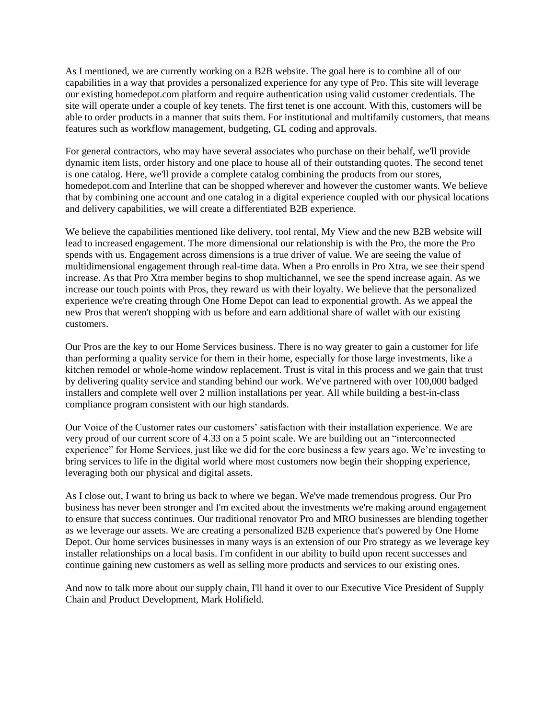As I mentioned, we are currently working on a B2B website. The goal here is to combine all of our capabilities in a way that provides a personalized experience for any type of Pro. This site will leverage our existing homedepot.com platform and require authentication using valid customer credentials. The site will operate under a couple of key tenets. The first tenet is one account. With this, customers will be able to order products in a manner that suits them. For institutional and multifamily customers, that means features such as workflow management, budgeting, GL coding and approvals.

For general contractors, who may have several associates who purchase on their behalf, we'll provide dynamic item lists, order history and one place to house all of their outstanding quotes. The second tenet is one catalog. Here, we'll provide a complete catalog combining the products from our stores, homedepot.com and Interline that can be shopped wherever and however the customer wants. We believe that by combining one account and one catalog in a digital experience coupled with our physical locations and delivery capabilities, we will create a differentiated B2B experience.

We believe the capabilities mentioned like delivery, tool rental, My View and the new B2B website will lead to increased engagement. The more dimensional our relationship is with the Pro, the more the Pro spends with us. Engagement across dimensions is a true driver of value. We are seeing the value of multidimensional engagement through real-time data. When a Pro enrolls in Pro Xtra, we see their spend increase. As that Pro Xtra member begins to shop multichannel, we see the spend increase again. As we increase our touch points with Pros, they reward us with their loyalty. We believe that the personalized experience we're creating through One Home Depot can lead to exponential growth. As we appeal the new Pros that weren't shopping with us before and earn additional share of wallet with our existing customers.

Our Pros are the key to our Home Services business. There is no way greater to gain a customer for life than performing a quality service for them in their home, especially for those large investments, like a kitchen remodel or whole-home window replacement. Trust is vital in this process and we gain that trust by delivering quality service and standing behind our work. We've partnered with over 100,000 badged installers and complete well over 2 million installations per year. All while building a best-in-class compliance program consistent with our high standards.

Our Voice of the Customer rates our customers' satisfaction with their installation experience. We are very proud of our current score of 4.33 on a 5 point scale. We are building out an "interconnected experience" for Home Services, just like we did for the core business a few years ago. We're investing to bring services to life in the digital world where most customers now begin their shopping experience, leveraging both our physical and digital assets.

As I close out, I want to bring us back to where we began. We've made tremendous progress. Our Pro business has never been stronger and I'm excited about the investments we're making around engagement to ensure that success continues. Our traditional renovator Pro and MRO businesses are blending together as we leverage our assets. We are creating a personalized B2B experience that's powered by One Home Depot. Our home services businesses in many ways is an extension of our Pro strategy as we leverage key installer relationships on a local basis. I'm confident in our ability to build upon recent successes and continue gaining new customers as well as selling more products and services to our existing ones.

And now to talk more about our supply chain, I'll hand it over to our Executive Vice President of Supply Chain and Product Development, Mark Holifield.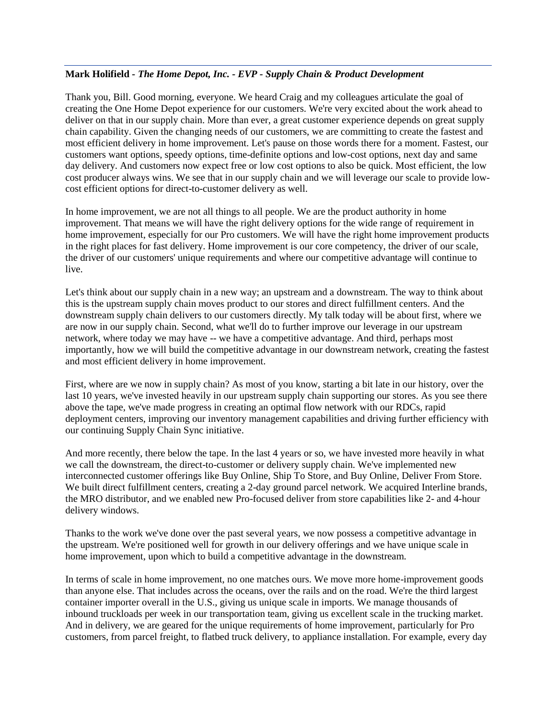# **Mark Holifield** *- The Home Depot, Inc. - EVP - Supply Chain & Product Development*

Thank you, Bill. Good morning, everyone. We heard Craig and my colleagues articulate the goal of creating the One Home Depot experience for our customers. We're very excited about the work ahead to deliver on that in our supply chain. More than ever, a great customer experience depends on great supply chain capability. Given the changing needs of our customers, we are committing to create the fastest and most efficient delivery in home improvement. Let's pause on those words there for a moment. Fastest, our customers want options, speedy options, time-definite options and low-cost options, next day and same day delivery. And customers now expect free or low cost options to also be quick. Most efficient, the low cost producer always wins. We see that in our supply chain and we will leverage our scale to provide lowcost efficient options for direct-to-customer delivery as well.

In home improvement, we are not all things to all people. We are the product authority in home improvement. That means we will have the right delivery options for the wide range of requirement in home improvement, especially for our Pro customers. We will have the right home improvement products in the right places for fast delivery. Home improvement is our core competency, the driver of our scale, the driver of our customers' unique requirements and where our competitive advantage will continue to live.

Let's think about our supply chain in a new way; an upstream and a downstream. The way to think about this is the upstream supply chain moves product to our stores and direct fulfillment centers. And the downstream supply chain delivers to our customers directly. My talk today will be about first, where we are now in our supply chain. Second, what we'll do to further improve our leverage in our upstream network, where today we may have -- we have a competitive advantage. And third, perhaps most importantly, how we will build the competitive advantage in our downstream network, creating the fastest and most efficient delivery in home improvement.

First, where are we now in supply chain? As most of you know, starting a bit late in our history, over the last 10 years, we've invested heavily in our upstream supply chain supporting our stores. As you see there above the tape, we've made progress in creating an optimal flow network with our RDCs, rapid deployment centers, improving our inventory management capabilities and driving further efficiency with our continuing Supply Chain Sync initiative.

And more recently, there below the tape. In the last 4 years or so, we have invested more heavily in what we call the downstream, the direct-to-customer or delivery supply chain. We've implemented new interconnected customer offerings like Buy Online, Ship To Store, and Buy Online, Deliver From Store. We built direct fulfillment centers, creating a 2-day ground parcel network. We acquired Interline brands, the MRO distributor, and we enabled new Pro-focused deliver from store capabilities like 2- and 4-hour delivery windows.

Thanks to the work we've done over the past several years, we now possess a competitive advantage in the upstream. We're positioned well for growth in our delivery offerings and we have unique scale in home improvement, upon which to build a competitive advantage in the downstream.

In terms of scale in home improvement, no one matches ours. We move more home-improvement goods than anyone else. That includes across the oceans, over the rails and on the road. We're the third largest container importer overall in the U.S., giving us unique scale in imports. We manage thousands of inbound truckloads per week in our transportation team, giving us excellent scale in the trucking market. And in delivery, we are geared for the unique requirements of home improvement, particularly for Pro customers, from parcel freight, to flatbed truck delivery, to appliance installation. For example, every day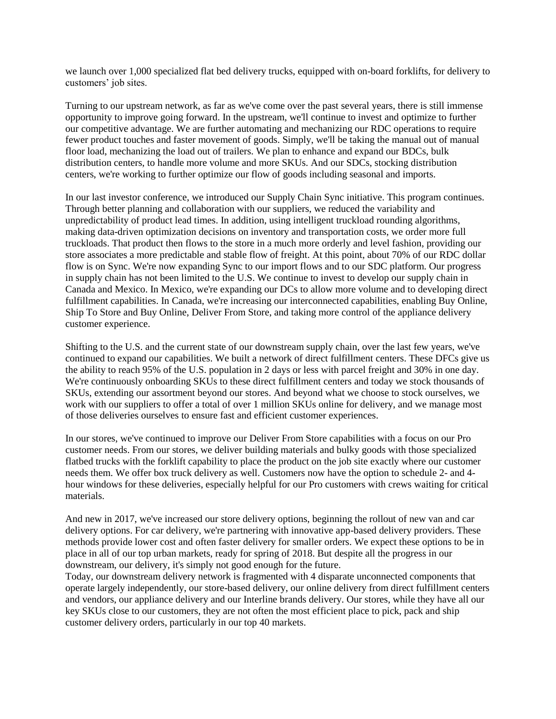we launch over 1,000 specialized flat bed delivery trucks, equipped with on-board forklifts, for delivery to customers' job sites.

Turning to our upstream network, as far as we've come over the past several years, there is still immense opportunity to improve going forward. In the upstream, we'll continue to invest and optimize to further our competitive advantage. We are further automating and mechanizing our RDC operations to require fewer product touches and faster movement of goods. Simply, we'll be taking the manual out of manual floor load, mechanizing the load out of trailers. We plan to enhance and expand our BDCs, bulk distribution centers, to handle more volume and more SKUs. And our SDCs, stocking distribution centers, we're working to further optimize our flow of goods including seasonal and imports.

In our last investor conference, we introduced our Supply Chain Sync initiative. This program continues. Through better planning and collaboration with our suppliers, we reduced the variability and unpredictability of product lead times. In addition, using intelligent truckload rounding algorithms, making data-driven optimization decisions on inventory and transportation costs, we order more full truckloads. That product then flows to the store in a much more orderly and level fashion, providing our store associates a more predictable and stable flow of freight. At this point, about 70% of our RDC dollar flow is on Sync. We're now expanding Sync to our import flows and to our SDC platform. Our progress in supply chain has not been limited to the U.S. We continue to invest to develop our supply chain in Canada and Mexico. In Mexico, we're expanding our DCs to allow more volume and to developing direct fulfillment capabilities. In Canada, we're increasing our interconnected capabilities, enabling Buy Online, Ship To Store and Buy Online, Deliver From Store, and taking more control of the appliance delivery customer experience.

Shifting to the U.S. and the current state of our downstream supply chain, over the last few years, we've continued to expand our capabilities. We built a network of direct fulfillment centers. These DFCs give us the ability to reach 95% of the U.S. population in 2 days or less with parcel freight and 30% in one day. We're continuously onboarding SKUs to these direct fulfillment centers and today we stock thousands of SKUs, extending our assortment beyond our stores. And beyond what we choose to stock ourselves, we work with our suppliers to offer a total of over 1 million SKUs online for delivery, and we manage most of those deliveries ourselves to ensure fast and efficient customer experiences.

In our stores, we've continued to improve our Deliver From Store capabilities with a focus on our Pro customer needs. From our stores, we deliver building materials and bulky goods with those specialized flatbed trucks with the forklift capability to place the product on the job site exactly where our customer needs them. We offer box truck delivery as well. Customers now have the option to schedule 2- and 4 hour windows for these deliveries, especially helpful for our Pro customers with crews waiting for critical materials.

And new in 2017, we've increased our store delivery options, beginning the rollout of new van and car delivery options. For car delivery, we're partnering with innovative app-based delivery providers. These methods provide lower cost and often faster delivery for smaller orders. We expect these options to be in place in all of our top urban markets, ready for spring of 2018. But despite all the progress in our downstream, our delivery, it's simply not good enough for the future.

Today, our downstream delivery network is fragmented with 4 disparate unconnected components that operate largely independently, our store-based delivery, our online delivery from direct fulfillment centers and vendors, our appliance delivery and our Interline brands delivery. Our stores, while they have all our key SKUs close to our customers, they are not often the most efficient place to pick, pack and ship customer delivery orders, particularly in our top 40 markets.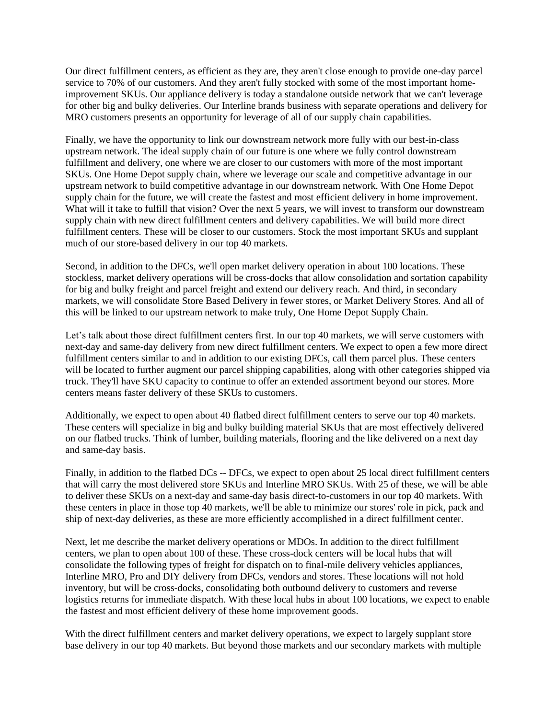Our direct fulfillment centers, as efficient as they are, they aren't close enough to provide one-day parcel service to 70% of our customers. And they aren't fully stocked with some of the most important homeimprovement SKUs. Our appliance delivery is today a standalone outside network that we can't leverage for other big and bulky deliveries. Our Interline brands business with separate operations and delivery for MRO customers presents an opportunity for leverage of all of our supply chain capabilities.

Finally, we have the opportunity to link our downstream network more fully with our best-in-class upstream network. The ideal supply chain of our future is one where we fully control downstream fulfillment and delivery, one where we are closer to our customers with more of the most important SKUs. One Home Depot supply chain, where we leverage our scale and competitive advantage in our upstream network to build competitive advantage in our downstream network. With One Home Depot supply chain for the future, we will create the fastest and most efficient delivery in home improvement. What will it take to fulfill that vision? Over the next 5 years, we will invest to transform our downstream supply chain with new direct fulfillment centers and delivery capabilities. We will build more direct fulfillment centers. These will be closer to our customers. Stock the most important SKUs and supplant much of our store-based delivery in our top 40 markets.

Second, in addition to the DFCs, we'll open market delivery operation in about 100 locations. These stockless, market delivery operations will be cross-docks that allow consolidation and sortation capability for big and bulky freight and parcel freight and extend our delivery reach. And third, in secondary markets, we will consolidate Store Based Delivery in fewer stores, or Market Delivery Stores. And all of this will be linked to our upstream network to make truly, One Home Depot Supply Chain.

Let's talk about those direct fulfillment centers first. In our top 40 markets, we will serve customers with next-day and same-day delivery from new direct fulfillment centers. We expect to open a few more direct fulfillment centers similar to and in addition to our existing DFCs, call them parcel plus. These centers will be located to further augment our parcel shipping capabilities, along with other categories shipped via truck. They'll have SKU capacity to continue to offer an extended assortment beyond our stores. More centers means faster delivery of these SKUs to customers.

Additionally, we expect to open about 40 flatbed direct fulfillment centers to serve our top 40 markets. These centers will specialize in big and bulky building material SKUs that are most effectively delivered on our flatbed trucks. Think of lumber, building materials, flooring and the like delivered on a next day and same-day basis.

Finally, in addition to the flatbed DCs -- DFCs, we expect to open about 25 local direct fulfillment centers that will carry the most delivered store SKUs and Interline MRO SKUs. With 25 of these, we will be able to deliver these SKUs on a next-day and same-day basis direct-to-customers in our top 40 markets. With these centers in place in those top 40 markets, we'll be able to minimize our stores' role in pick, pack and ship of next-day deliveries, as these are more efficiently accomplished in a direct fulfillment center.

Next, let me describe the market delivery operations or MDOs. In addition to the direct fulfillment centers, we plan to open about 100 of these. These cross-dock centers will be local hubs that will consolidate the following types of freight for dispatch on to final-mile delivery vehicles appliances, Interline MRO, Pro and DIY delivery from DFCs, vendors and stores. These locations will not hold inventory, but will be cross-docks, consolidating both outbound delivery to customers and reverse logistics returns for immediate dispatch. With these local hubs in about 100 locations, we expect to enable the fastest and most efficient delivery of these home improvement goods.

With the direct fulfillment centers and market delivery operations, we expect to largely supplant store base delivery in our top 40 markets. But beyond those markets and our secondary markets with multiple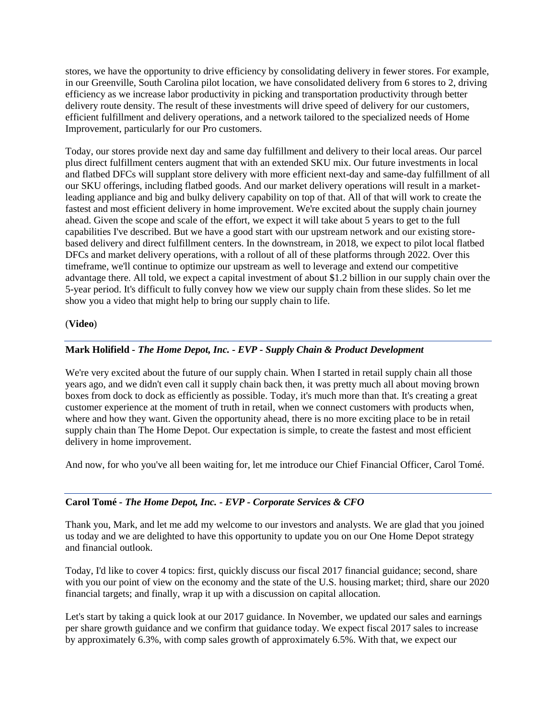stores, we have the opportunity to drive efficiency by consolidating delivery in fewer stores. For example, in our Greenville, South Carolina pilot location, we have consolidated delivery from 6 stores to 2, driving efficiency as we increase labor productivity in picking and transportation productivity through better delivery route density. The result of these investments will drive speed of delivery for our customers, efficient fulfillment and delivery operations, and a network tailored to the specialized needs of Home Improvement, particularly for our Pro customers.

Today, our stores provide next day and same day fulfillment and delivery to their local areas. Our parcel plus direct fulfillment centers augment that with an extended SKU mix. Our future investments in local and flatbed DFCs will supplant store delivery with more efficient next-day and same-day fulfillment of all our SKU offerings, including flatbed goods. And our market delivery operations will result in a marketleading appliance and big and bulky delivery capability on top of that. All of that will work to create the fastest and most efficient delivery in home improvement. We're excited about the supply chain journey ahead. Given the scope and scale of the effort, we expect it will take about 5 years to get to the full capabilities I've described. But we have a good start with our upstream network and our existing storebased delivery and direct fulfillment centers. In the downstream, in 2018, we expect to pilot local flatbed DFCs and market delivery operations, with a rollout of all of these platforms through 2022. Over this timeframe, we'll continue to optimize our upstream as well to leverage and extend our competitive advantage there. All told, we expect a capital investment of about \$1.2 billion in our supply chain over the 5-year period. It's difficult to fully convey how we view our supply chain from these slides. So let me show you a video that might help to bring our supply chain to life.

# (**Video**)

# **Mark Holifield** *- The Home Depot, Inc. - EVP - Supply Chain & Product Development*

We're very excited about the future of our supply chain. When I started in retail supply chain all those years ago, and we didn't even call it supply chain back then, it was pretty much all about moving brown boxes from dock to dock as efficiently as possible. Today, it's much more than that. It's creating a great customer experience at the moment of truth in retail, when we connect customers with products when, where and how they want. Given the opportunity ahead, there is no more exciting place to be in retail supply chain than The Home Depot. Our expectation is simple, to create the fastest and most efficient delivery in home improvement.

And now, for who you've all been waiting for, let me introduce our Chief Financial Officer, Carol Tomé.

# **Carol Tomé** *- The Home Depot, Inc. - EVP - Corporate Services & CFO*

Thank you, Mark, and let me add my welcome to our investors and analysts. We are glad that you joined us today and we are delighted to have this opportunity to update you on our One Home Depot strategy and financial outlook.

Today, I'd like to cover 4 topics: first, quickly discuss our fiscal 2017 financial guidance; second, share with you our point of view on the economy and the state of the U.S. housing market; third, share our 2020 financial targets; and finally, wrap it up with a discussion on capital allocation.

Let's start by taking a quick look at our 2017 guidance. In November, we updated our sales and earnings per share growth guidance and we confirm that guidance today. We expect fiscal 2017 sales to increase by approximately 6.3%, with comp sales growth of approximately 6.5%. With that, we expect our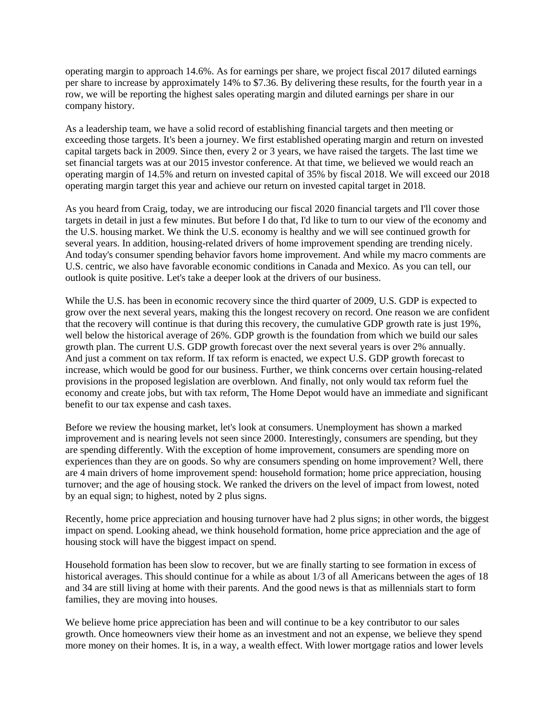operating margin to approach 14.6%. As for earnings per share, we project fiscal 2017 diluted earnings per share to increase by approximately 14% to \$7.36. By delivering these results, for the fourth year in a row, we will be reporting the highest sales operating margin and diluted earnings per share in our company history.

As a leadership team, we have a solid record of establishing financial targets and then meeting or exceeding those targets. It's been a journey. We first established operating margin and return on invested capital targets back in 2009. Since then, every 2 or 3 years, we have raised the targets. The last time we set financial targets was at our 2015 investor conference. At that time, we believed we would reach an operating margin of 14.5% and return on invested capital of 35% by fiscal 2018. We will exceed our 2018 operating margin target this year and achieve our return on invested capital target in 2018.

As you heard from Craig, today, we are introducing our fiscal 2020 financial targets and I'll cover those targets in detail in just a few minutes. But before I do that, I'd like to turn to our view of the economy and the U.S. housing market. We think the U.S. economy is healthy and we will see continued growth for several years. In addition, housing-related drivers of home improvement spending are trending nicely. And today's consumer spending behavior favors home improvement. And while my macro comments are U.S. centric, we also have favorable economic conditions in Canada and Mexico. As you can tell, our outlook is quite positive. Let's take a deeper look at the drivers of our business.

While the U.S. has been in economic recovery since the third quarter of 2009, U.S. GDP is expected to grow over the next several years, making this the longest recovery on record. One reason we are confident that the recovery will continue is that during this recovery, the cumulative GDP growth rate is just 19%, well below the historical average of 26%. GDP growth is the foundation from which we build our sales growth plan. The current U.S. GDP growth forecast over the next several years is over 2% annually. And just a comment on tax reform. If tax reform is enacted, we expect U.S. GDP growth forecast to increase, which would be good for our business. Further, we think concerns over certain housing-related provisions in the proposed legislation are overblown. And finally, not only would tax reform fuel the economy and create jobs, but with tax reform, The Home Depot would have an immediate and significant benefit to our tax expense and cash taxes.

Before we review the housing market, let's look at consumers. Unemployment has shown a marked improvement and is nearing levels not seen since 2000. Interestingly, consumers are spending, but they are spending differently. With the exception of home improvement, consumers are spending more on experiences than they are on goods. So why are consumers spending on home improvement? Well, there are 4 main drivers of home improvement spend: household formation; home price appreciation, housing turnover; and the age of housing stock. We ranked the drivers on the level of impact from lowest, noted by an equal sign; to highest, noted by 2 plus signs.

Recently, home price appreciation and housing turnover have had 2 plus signs; in other words, the biggest impact on spend. Looking ahead, we think household formation, home price appreciation and the age of housing stock will have the biggest impact on spend.

Household formation has been slow to recover, but we are finally starting to see formation in excess of historical averages. This should continue for a while as about 1/3 of all Americans between the ages of 18 and 34 are still living at home with their parents. And the good news is that as millennials start to form families, they are moving into houses.

We believe home price appreciation has been and will continue to be a key contributor to our sales growth. Once homeowners view their home as an investment and not an expense, we believe they spend more money on their homes. It is, in a way, a wealth effect. With lower mortgage ratios and lower levels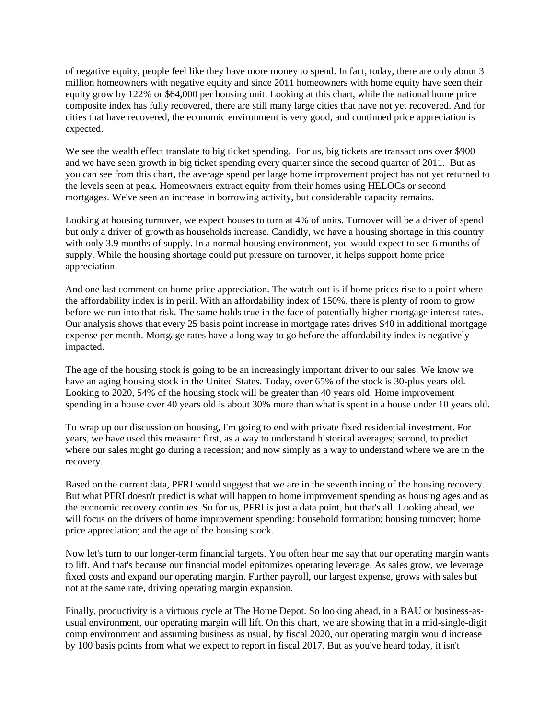of negative equity, people feel like they have more money to spend. In fact, today, there are only about 3 million homeowners with negative equity and since 2011 homeowners with home equity have seen their equity grow by 122% or \$64,000 per housing unit. Looking at this chart, while the national home price composite index has fully recovered, there are still many large cities that have not yet recovered. And for cities that have recovered, the economic environment is very good, and continued price appreciation is expected.

We see the wealth effect translate to big ticket spending. For us, big tickets are transactions over \$900 and we have seen growth in big ticket spending every quarter since the second quarter of 2011. But as you can see from this chart, the average spend per large home improvement project has not yet returned to the levels seen at peak. Homeowners extract equity from their homes using HELOCs or second mortgages. We've seen an increase in borrowing activity, but considerable capacity remains.

Looking at housing turnover, we expect houses to turn at 4% of units. Turnover will be a driver of spend but only a driver of growth as households increase. Candidly, we have a housing shortage in this country with only 3.9 months of supply. In a normal housing environment, you would expect to see 6 months of supply. While the housing shortage could put pressure on turnover, it helps support home price appreciation.

And one last comment on home price appreciation. The watch-out is if home prices rise to a point where the affordability index is in peril. With an affordability index of 150%, there is plenty of room to grow before we run into that risk. The same holds true in the face of potentially higher mortgage interest rates. Our analysis shows that every 25 basis point increase in mortgage rates drives \$40 in additional mortgage expense per month. Mortgage rates have a long way to go before the affordability index is negatively impacted.

The age of the housing stock is going to be an increasingly important driver to our sales. We know we have an aging housing stock in the United States. Today, over 65% of the stock is 30-plus years old. Looking to 2020, 54% of the housing stock will be greater than 40 years old. Home improvement spending in a house over 40 years old is about 30% more than what is spent in a house under 10 years old.

To wrap up our discussion on housing, I'm going to end with private fixed residential investment. For years, we have used this measure: first, as a way to understand historical averages; second, to predict where our sales might go during a recession; and now simply as a way to understand where we are in the recovery.

Based on the current data, PFRI would suggest that we are in the seventh inning of the housing recovery. But what PFRI doesn't predict is what will happen to home improvement spending as housing ages and as the economic recovery continues. So for us, PFRI is just a data point, but that's all. Looking ahead, we will focus on the drivers of home improvement spending: household formation; housing turnover; home price appreciation; and the age of the housing stock.

Now let's turn to our longer-term financial targets. You often hear me say that our operating margin wants to lift. And that's because our financial model epitomizes operating leverage. As sales grow, we leverage fixed costs and expand our operating margin. Further payroll, our largest expense, grows with sales but not at the same rate, driving operating margin expansion.

Finally, productivity is a virtuous cycle at The Home Depot. So looking ahead, in a BAU or business-asusual environment, our operating margin will lift. On this chart, we are showing that in a mid-single-digit comp environment and assuming business as usual, by fiscal 2020, our operating margin would increase by 100 basis points from what we expect to report in fiscal 2017. But as you've heard today, it isn't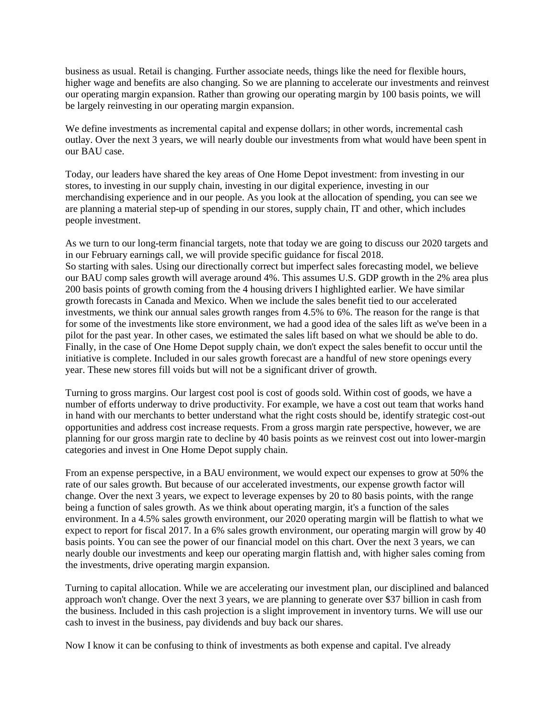business as usual. Retail is changing. Further associate needs, things like the need for flexible hours, higher wage and benefits are also changing. So we are planning to accelerate our investments and reinvest our operating margin expansion. Rather than growing our operating margin by 100 basis points, we will be largely reinvesting in our operating margin expansion.

We define investments as incremental capital and expense dollars; in other words, incremental cash outlay. Over the next 3 years, we will nearly double our investments from what would have been spent in our BAU case.

Today, our leaders have shared the key areas of One Home Depot investment: from investing in our stores, to investing in our supply chain, investing in our digital experience, investing in our merchandising experience and in our people. As you look at the allocation of spending, you can see we are planning a material step-up of spending in our stores, supply chain, IT and other, which includes people investment.

As we turn to our long-term financial targets, note that today we are going to discuss our 2020 targets and in our February earnings call, we will provide specific guidance for fiscal 2018. So starting with sales. Using our directionally correct but imperfect sales forecasting model, we believe our BAU comp sales growth will average around 4%. This assumes U.S. GDP growth in the 2% area plus 200 basis points of growth coming from the 4 housing drivers I highlighted earlier. We have similar growth forecasts in Canada and Mexico. When we include the sales benefit tied to our accelerated investments, we think our annual sales growth ranges from 4.5% to 6%. The reason for the range is that for some of the investments like store environment, we had a good idea of the sales lift as we've been in a pilot for the past year. In other cases, we estimated the sales lift based on what we should be able to do. Finally, in the case of One Home Depot supply chain, we don't expect the sales benefit to occur until the initiative is complete. Included in our sales growth forecast are a handful of new store openings every year. These new stores fill voids but will not be a significant driver of growth.

Turning to gross margins. Our largest cost pool is cost of goods sold. Within cost of goods, we have a number of efforts underway to drive productivity. For example, we have a cost out team that works hand in hand with our merchants to better understand what the right costs should be, identify strategic cost-out opportunities and address cost increase requests. From a gross margin rate perspective, however, we are planning for our gross margin rate to decline by 40 basis points as we reinvest cost out into lower-margin categories and invest in One Home Depot supply chain.

From an expense perspective, in a BAU environment, we would expect our expenses to grow at 50% the rate of our sales growth. But because of our accelerated investments, our expense growth factor will change. Over the next 3 years, we expect to leverage expenses by 20 to 80 basis points, with the range being a function of sales growth. As we think about operating margin, it's a function of the sales environment. In a 4.5% sales growth environment, our 2020 operating margin will be flattish to what we expect to report for fiscal 2017. In a 6% sales growth environment, our operating margin will grow by 40 basis points. You can see the power of our financial model on this chart. Over the next 3 years, we can nearly double our investments and keep our operating margin flattish and, with higher sales coming from the investments, drive operating margin expansion.

Turning to capital allocation. While we are accelerating our investment plan, our disciplined and balanced approach won't change. Over the next 3 years, we are planning to generate over \$37 billion in cash from the business. Included in this cash projection is a slight improvement in inventory turns. We will use our cash to invest in the business, pay dividends and buy back our shares.

Now I know it can be confusing to think of investments as both expense and capital. I've already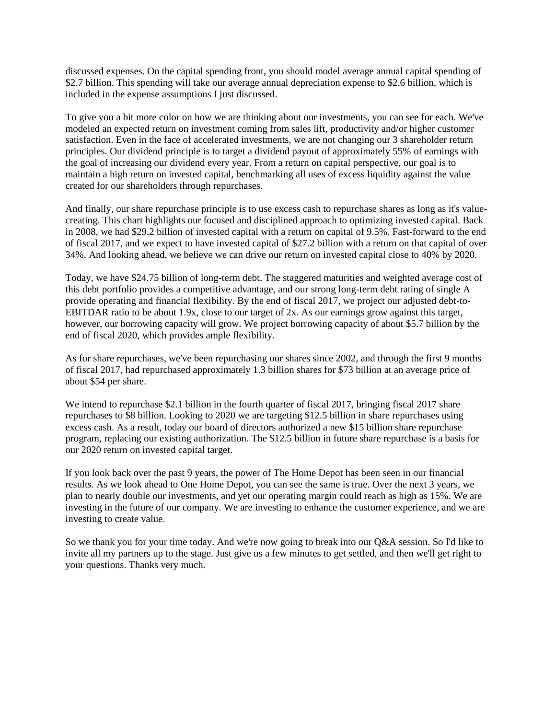discussed expenses. On the capital spending front, you should model average annual capital spending of \$2.7 billion. This spending will take our average annual depreciation expense to \$2.6 billion, which is included in the expense assumptions I just discussed.

To give you a bit more color on how we are thinking about our investments, you can see for each. We've modeled an expected return on investment coming from sales lift, productivity and/or higher customer satisfaction. Even in the face of accelerated investments, we are not changing our 3 shareholder return principles. Our dividend principle is to target a dividend payout of approximately 55% of earnings with the goal of increasing our dividend every year. From a return on capital perspective, our goal is to maintain a high return on invested capital, benchmarking all uses of excess liquidity against the value created for our shareholders through repurchases.

And finally, our share repurchase principle is to use excess cash to repurchase shares as long as it's valuecreating. This chart highlights our focused and disciplined approach to optimizing invested capital. Back in 2008, we had \$29.2 billion of invested capital with a return on capital of 9.5%. Fast-forward to the end of fiscal 2017, and we expect to have invested capital of \$27.2 billion with a return on that capital of over 34%. And looking ahead, we believe we can drive our return on invested capital close to 40% by 2020.

Today, we have \$24.75 billion of long-term debt. The staggered maturities and weighted average cost of this debt portfolio provides a competitive advantage, and our strong long-term debt rating of single A provide operating and financial flexibility. By the end of fiscal 2017, we project our adjusted debt-to-EBITDAR ratio to be about 1.9x, close to our target of 2x. As our earnings grow against this target, however, our borrowing capacity will grow. We project borrowing capacity of about \$5.7 billion by the end of fiscal 2020, which provides ample flexibility.

As for share repurchases, we've been repurchasing our shares since 2002, and through the first 9 months of fiscal 2017, had repurchased approximately 1.3 billion shares for \$73 billion at an average price of about \$54 per share.

We intend to repurchase \$2.1 billion in the fourth quarter of fiscal 2017, bringing fiscal 2017 share repurchases to \$8 billion. Looking to 2020 we are targeting \$12.5 billion in share repurchases using excess cash. As a result, today our board of directors authorized a new \$15 billion share repurchase program, replacing our existing authorization. The \$12.5 billion in future share repurchase is a basis for our 2020 return on invested capital target.

If you look back over the past 9 years, the power of The Home Depot has been seen in our financial results. As we look ahead to One Home Depot, you can see the same is true. Over the next 3 years, we plan to nearly double our investments, and yet our operating margin could reach as high as 15%. We are investing in the future of our company. We are investing to enhance the customer experience, and we are investing to create value.

So we thank you for your time today. And we're now going to break into our Q&A session. So I'd like to invite all my partners up to the stage. Just give us a few minutes to get settled, and then we'll get right to your questions. Thanks very much.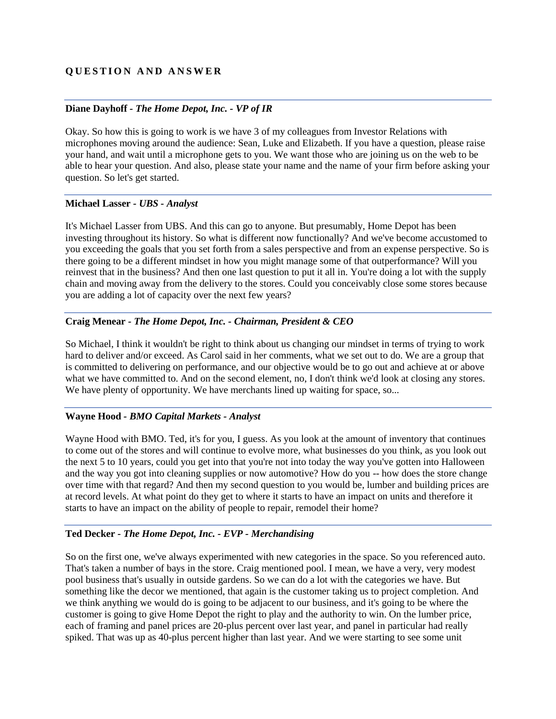# **Q U E S T I O N A N D A N S W E R**

#### **Diane Dayhoff** *- The Home Depot, Inc. - VP of IR*

Okay. So how this is going to work is we have 3 of my colleagues from Investor Relations with microphones moving around the audience: Sean, Luke and Elizabeth. If you have a question, please raise your hand, and wait until a microphone gets to you. We want those who are joining us on the web to be able to hear your question. And also, please state your name and the name of your firm before asking your question. So let's get started.

#### **Michael Lasser** *- UBS - Analyst*

It's Michael Lasser from UBS. And this can go to anyone. But presumably, Home Depot has been investing throughout its history. So what is different now functionally? And we've become accustomed to you exceeding the goals that you set forth from a sales perspective and from an expense perspective. So is there going to be a different mindset in how you might manage some of that outperformance? Will you reinvest that in the business? And then one last question to put it all in. You're doing a lot with the supply chain and moving away from the delivery to the stores. Could you conceivably close some stores because you are adding a lot of capacity over the next few years?

## **Craig Menear** *- The Home Depot, Inc. - Chairman, President & CEO*

So Michael, I think it wouldn't be right to think about us changing our mindset in terms of trying to work hard to deliver and/or exceed. As Carol said in her comments, what we set out to do. We are a group that is committed to delivering on performance, and our objective would be to go out and achieve at or above what we have committed to. And on the second element, no, I don't think we'd look at closing any stores. We have plenty of opportunity. We have merchants lined up waiting for space, so...

## **Wayne Hood** *- BMO Capital Markets - Analyst*

Wayne Hood with BMO. Ted, it's for you, I guess. As you look at the amount of inventory that continues to come out of the stores and will continue to evolve more, what businesses do you think, as you look out the next 5 to 10 years, could you get into that you're not into today the way you've gotten into Halloween and the way you got into cleaning supplies or now automotive? How do you -- how does the store change over time with that regard? And then my second question to you would be, lumber and building prices are at record levels. At what point do they get to where it starts to have an impact on units and therefore it starts to have an impact on the ability of people to repair, remodel their home?

## **Ted Decker** *- The Home Depot, Inc. - EVP - Merchandising*

So on the first one, we've always experimented with new categories in the space. So you referenced auto. That's taken a number of bays in the store. Craig mentioned pool. I mean, we have a very, very modest pool business that's usually in outside gardens. So we can do a lot with the categories we have. But something like the decor we mentioned, that again is the customer taking us to project completion. And we think anything we would do is going to be adjacent to our business, and it's going to be where the customer is going to give Home Depot the right to play and the authority to win. On the lumber price, each of framing and panel prices are 20-plus percent over last year, and panel in particular had really spiked. That was up as 40-plus percent higher than last year. And we were starting to see some unit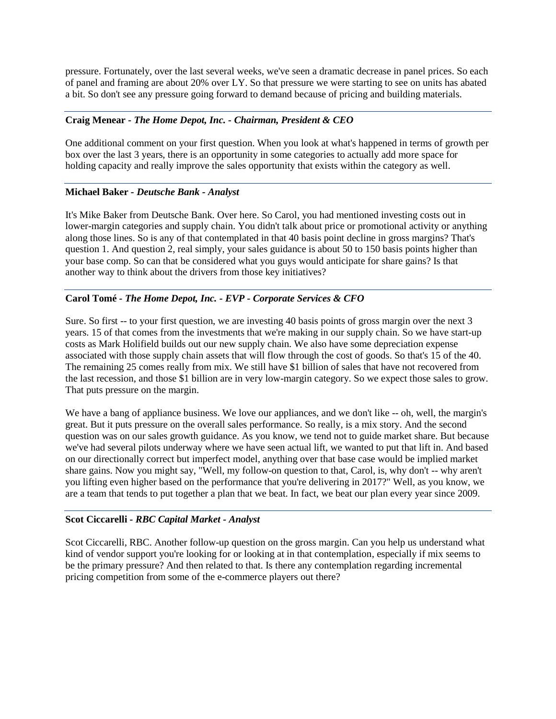pressure. Fortunately, over the last several weeks, we've seen a dramatic decrease in panel prices. So each of panel and framing are about 20% over LY. So that pressure we were starting to see on units has abated a bit. So don't see any pressure going forward to demand because of pricing and building materials.

# **Craig Menear** *- The Home Depot, Inc. - Chairman, President & CEO*

One additional comment on your first question. When you look at what's happened in terms of growth per box over the last 3 years, there is an opportunity in some categories to actually add more space for holding capacity and really improve the sales opportunity that exists within the category as well.

# **Michael Baker** *- Deutsche Bank - Analyst*

It's Mike Baker from Deutsche Bank. Over here. So Carol, you had mentioned investing costs out in lower-margin categories and supply chain. You didn't talk about price or promotional activity or anything along those lines. So is any of that contemplated in that 40 basis point decline in gross margins? That's question 1. And question 2, real simply, your sales guidance is about 50 to 150 basis points higher than your base comp. So can that be considered what you guys would anticipate for share gains? Is that another way to think about the drivers from those key initiatives?

# **Carol Tomé** *- The Home Depot, Inc. - EVP - Corporate Services & CFO*

Sure. So first -- to your first question, we are investing 40 basis points of gross margin over the next 3 years. 15 of that comes from the investments that we're making in our supply chain. So we have start-up costs as Mark Holifield builds out our new supply chain. We also have some depreciation expense associated with those supply chain assets that will flow through the cost of goods. So that's 15 of the 40. The remaining 25 comes really from mix. We still have \$1 billion of sales that have not recovered from the last recession, and those \$1 billion are in very low-margin category. So we expect those sales to grow. That puts pressure on the margin.

We have a bang of appliance business. We love our appliances, and we don't like -- oh, well, the margin's great. But it puts pressure on the overall sales performance. So really, is a mix story. And the second question was on our sales growth guidance. As you know, we tend not to guide market share. But because we've had several pilots underway where we have seen actual lift, we wanted to put that lift in. And based on our directionally correct but imperfect model, anything over that base case would be implied market share gains. Now you might say, "Well, my follow-on question to that, Carol, is, why don't -- why aren't you lifting even higher based on the performance that you're delivering in 2017?" Well, as you know, we are a team that tends to put together a plan that we beat. In fact, we beat our plan every year since 2009.

## **Scot Ciccarelli** *- RBC Capital Market - Analyst*

Scot Ciccarelli, RBC. Another follow-up question on the gross margin. Can you help us understand what kind of vendor support you're looking for or looking at in that contemplation, especially if mix seems to be the primary pressure? And then related to that. Is there any contemplation regarding incremental pricing competition from some of the e-commerce players out there?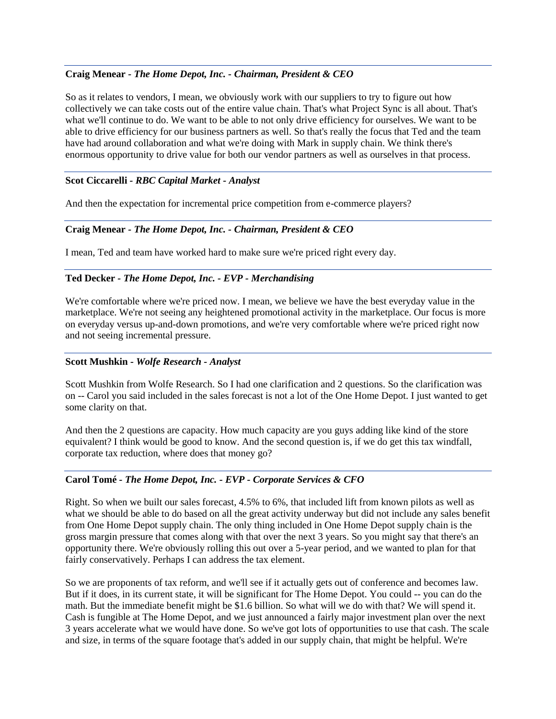# **Craig Menear** *- The Home Depot, Inc. - Chairman, President & CEO*

So as it relates to vendors, I mean, we obviously work with our suppliers to try to figure out how collectively we can take costs out of the entire value chain. That's what Project Sync is all about. That's what we'll continue to do. We want to be able to not only drive efficiency for ourselves. We want to be able to drive efficiency for our business partners as well. So that's really the focus that Ted and the team have had around collaboration and what we're doing with Mark in supply chain. We think there's enormous opportunity to drive value for both our vendor partners as well as ourselves in that process.

## **Scot Ciccarelli** *- RBC Capital Market - Analyst*

And then the expectation for incremental price competition from e-commerce players?

## **Craig Menear** *- The Home Depot, Inc. - Chairman, President & CEO*

I mean, Ted and team have worked hard to make sure we're priced right every day.

## **Ted Decker** *- The Home Depot, Inc. - EVP - Merchandising*

We're comfortable where we're priced now. I mean, we believe we have the best everyday value in the marketplace. We're not seeing any heightened promotional activity in the marketplace. Our focus is more on everyday versus up-and-down promotions, and we're very comfortable where we're priced right now and not seeing incremental pressure.

#### **Scott Mushkin** *- Wolfe Research - Analyst*

Scott Mushkin from Wolfe Research. So I had one clarification and 2 questions. So the clarification was on -- Carol you said included in the sales forecast is not a lot of the One Home Depot. I just wanted to get some clarity on that.

And then the 2 questions are capacity. How much capacity are you guys adding like kind of the store equivalent? I think would be good to know. And the second question is, if we do get this tax windfall, corporate tax reduction, where does that money go?

## **Carol Tomé** *- The Home Depot, Inc. - EVP - Corporate Services & CFO*

Right. So when we built our sales forecast, 4.5% to 6%, that included lift from known pilots as well as what we should be able to do based on all the great activity underway but did not include any sales benefit from One Home Depot supply chain. The only thing included in One Home Depot supply chain is the gross margin pressure that comes along with that over the next 3 years. So you might say that there's an opportunity there. We're obviously rolling this out over a 5-year period, and we wanted to plan for that fairly conservatively. Perhaps I can address the tax element.

So we are proponents of tax reform, and we'll see if it actually gets out of conference and becomes law. But if it does, in its current state, it will be significant for The Home Depot. You could -- you can do the math. But the immediate benefit might be \$1.6 billion. So what will we do with that? We will spend it. Cash is fungible at The Home Depot, and we just announced a fairly major investment plan over the next 3 years accelerate what we would have done. So we've got lots of opportunities to use that cash. The scale and size, in terms of the square footage that's added in our supply chain, that might be helpful. We're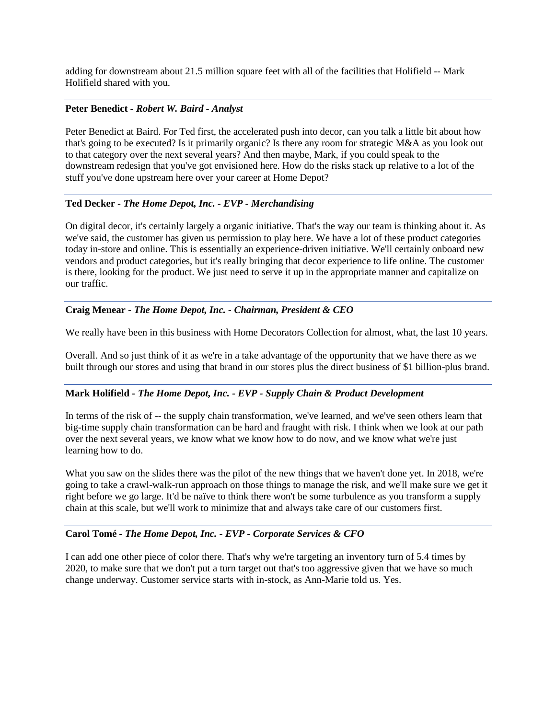adding for downstream about 21.5 million square feet with all of the facilities that Holifield -- Mark Holifield shared with you.

## **Peter Benedict** *- Robert W. Baird - Analyst*

Peter Benedict at Baird. For Ted first, the accelerated push into decor, can you talk a little bit about how that's going to be executed? Is it primarily organic? Is there any room for strategic M&A as you look out to that category over the next several years? And then maybe, Mark, if you could speak to the downstream redesign that you've got envisioned here. How do the risks stack up relative to a lot of the stuff you've done upstream here over your career at Home Depot?

#### **Ted Decker** *- The Home Depot, Inc. - EVP - Merchandising*

On digital decor, it's certainly largely a organic initiative. That's the way our team is thinking about it. As we've said, the customer has given us permission to play here. We have a lot of these product categories today in-store and online. This is essentially an experience-driven initiative. We'll certainly onboard new vendors and product categories, but it's really bringing that decor experience to life online. The customer is there, looking for the product. We just need to serve it up in the appropriate manner and capitalize on our traffic.

## **Craig Menear** *- The Home Depot, Inc. - Chairman, President & CEO*

We really have been in this business with Home Decorators Collection for almost, what, the last 10 years.

Overall. And so just think of it as we're in a take advantage of the opportunity that we have there as we built through our stores and using that brand in our stores plus the direct business of \$1 billion-plus brand.

## **Mark Holifield** *- The Home Depot, Inc. - EVP - Supply Chain & Product Development*

In terms of the risk of -- the supply chain transformation, we've learned, and we've seen others learn that big-time supply chain transformation can be hard and fraught with risk. I think when we look at our path over the next several years, we know what we know how to do now, and we know what we're just learning how to do.

What you saw on the slides there was the pilot of the new things that we haven't done yet. In 2018, we're going to take a crawl-walk-run approach on those things to manage the risk, and we'll make sure we get it right before we go large. It'd be naïve to think there won't be some turbulence as you transform a supply chain at this scale, but we'll work to minimize that and always take care of our customers first.

## **Carol Tomé** *- The Home Depot, Inc. - EVP - Corporate Services & CFO*

I can add one other piece of color there. That's why we're targeting an inventory turn of 5.4 times by 2020, to make sure that we don't put a turn target out that's too aggressive given that we have so much change underway. Customer service starts with in-stock, as Ann-Marie told us. Yes.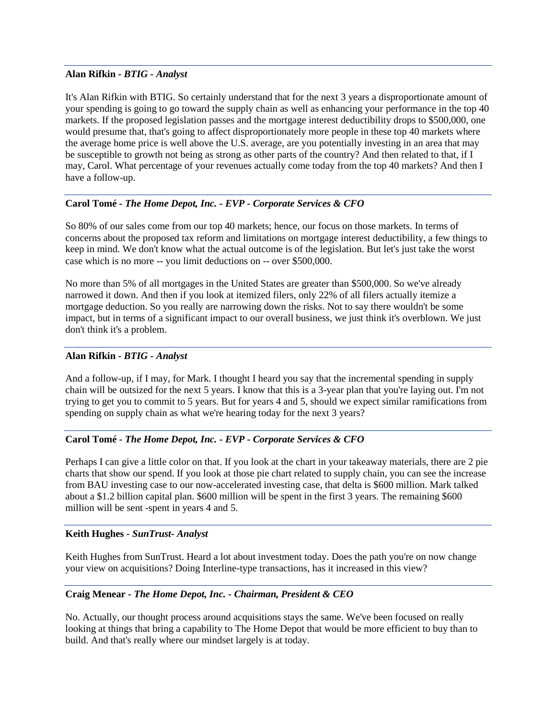#### **Alan Rifkin** *- BTIG - Analyst*

It's Alan Rifkin with BTIG. So certainly understand that for the next 3 years a disproportionate amount of your spending is going to go toward the supply chain as well as enhancing your performance in the top 40 markets. If the proposed legislation passes and the mortgage interest deductibility drops to \$500,000, one would presume that, that's going to affect disproportionately more people in these top 40 markets where the average home price is well above the U.S. average, are you potentially investing in an area that may be susceptible to growth not being as strong as other parts of the country? And then related to that, if I may, Carol. What percentage of your revenues actually come today from the top 40 markets? And then I have a follow-up.

## **Carol Tomé** *- The Home Depot, Inc. - EVP - Corporate Services & CFO*

So 80% of our sales come from our top 40 markets; hence, our focus on those markets. In terms of concerns about the proposed tax reform and limitations on mortgage interest deductibility, a few things to keep in mind. We don't know what the actual outcome is of the legislation. But let's just take the worst case which is no more -- you limit deductions on -- over \$500,000.

No more than 5% of all mortgages in the United States are greater than \$500,000. So we've already narrowed it down. And then if you look at itemized filers, only 22% of all filers actually itemize a mortgage deduction. So you really are narrowing down the risks. Not to say there wouldn't be some impact, but in terms of a significant impact to our overall business, we just think it's overblown. We just don't think it's a problem.

#### **Alan Rifkin** *- BTIG - Analyst*

And a follow-up, if I may, for Mark. I thought I heard you say that the incremental spending in supply chain will be outsized for the next 5 years. I know that this is a 3-year plan that you're laying out. I'm not trying to get you to commit to 5 years. But for years 4 and 5, should we expect similar ramifications from spending on supply chain as what we're hearing today for the next 3 years?

## **Carol Tomé** *- The Home Depot, Inc. - EVP - Corporate Services & CFO*

Perhaps I can give a little color on that. If you look at the chart in your takeaway materials, there are 2 pie charts that show our spend. If you look at those pie chart related to supply chain, you can see the increase from BAU investing case to our now-accelerated investing case, that delta is \$600 million. Mark talked about a \$1.2 billion capital plan. \$600 million will be spent in the first 3 years. The remaining \$600 million will be sent -spent in years 4 and 5.

#### **Keith Hughes** *- SunTrust- Analyst*

Keith Hughes from SunTrust. Heard a lot about investment today. Does the path you're on now change your view on acquisitions? Doing Interline-type transactions, has it increased in this view?

#### **Craig Menear** *- The Home Depot, Inc. - Chairman, President & CEO*

No. Actually, our thought process around acquisitions stays the same. We've been focused on really looking at things that bring a capability to The Home Depot that would be more efficient to buy than to build. And that's really where our mindset largely is at today.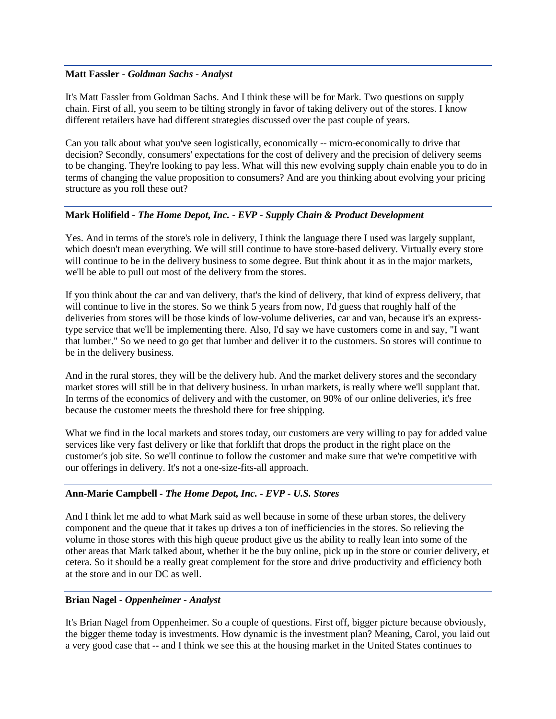#### **Matt Fassler** *- Goldman Sachs - Analyst*

It's Matt Fassler from Goldman Sachs. And I think these will be for Mark. Two questions on supply chain. First of all, you seem to be tilting strongly in favor of taking delivery out of the stores. I know different retailers have had different strategies discussed over the past couple of years.

Can you talk about what you've seen logistically, economically -- micro-economically to drive that decision? Secondly, consumers' expectations for the cost of delivery and the precision of delivery seems to be changing. They're looking to pay less. What will this new evolving supply chain enable you to do in terms of changing the value proposition to consumers? And are you thinking about evolving your pricing structure as you roll these out?

## **Mark Holifield** *- The Home Depot, Inc. - EVP - Supply Chain & Product Development*

Yes. And in terms of the store's role in delivery, I think the language there I used was largely supplant, which doesn't mean everything. We will still continue to have store-based delivery. Virtually every store will continue to be in the delivery business to some degree. But think about it as in the major markets, we'll be able to pull out most of the delivery from the stores.

If you think about the car and van delivery, that's the kind of delivery, that kind of express delivery, that will continue to live in the stores. So we think 5 years from now, I'd guess that roughly half of the deliveries from stores will be those kinds of low-volume deliveries, car and van, because it's an expresstype service that we'll be implementing there. Also, I'd say we have customers come in and say, "I want that lumber." So we need to go get that lumber and deliver it to the customers. So stores will continue to be in the delivery business.

And in the rural stores, they will be the delivery hub. And the market delivery stores and the secondary market stores will still be in that delivery business. In urban markets, is really where we'll supplant that. In terms of the economics of delivery and with the customer, on 90% of our online deliveries, it's free because the customer meets the threshold there for free shipping.

What we find in the local markets and stores today, our customers are very willing to pay for added value services like very fast delivery or like that forklift that drops the product in the right place on the customer's job site. So we'll continue to follow the customer and make sure that we're competitive with our offerings in delivery. It's not a one-size-fits-all approach.

# **Ann-Marie Campbell** *- The Home Depot, Inc. - EVP - U.S. Stores*

And I think let me add to what Mark said as well because in some of these urban stores, the delivery component and the queue that it takes up drives a ton of inefficiencies in the stores. So relieving the volume in those stores with this high queue product give us the ability to really lean into some of the other areas that Mark talked about, whether it be the buy online, pick up in the store or courier delivery, et cetera. So it should be a really great complement for the store and drive productivity and efficiency both at the store and in our DC as well.

#### **Brian Nagel** *- Oppenheimer - Analyst*

It's Brian Nagel from Oppenheimer. So a couple of questions. First off, bigger picture because obviously, the bigger theme today is investments. How dynamic is the investment plan? Meaning, Carol, you laid out a very good case that -- and I think we see this at the housing market in the United States continues to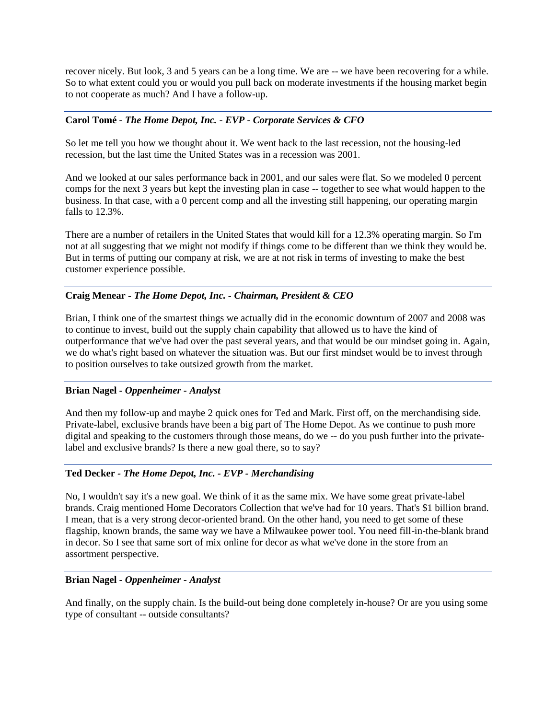recover nicely. But look, 3 and 5 years can be a long time. We are -- we have been recovering for a while. So to what extent could you or would you pull back on moderate investments if the housing market begin to not cooperate as much? And I have a follow-up.

# **Carol Tomé** *- The Home Depot, Inc. - EVP - Corporate Services & CFO*

So let me tell you how we thought about it. We went back to the last recession, not the housing-led recession, but the last time the United States was in a recession was 2001.

And we looked at our sales performance back in 2001, and our sales were flat. So we modeled 0 percent comps for the next 3 years but kept the investing plan in case -- together to see what would happen to the business. In that case, with a 0 percent comp and all the investing still happening, our operating margin falls to 12.3%.

There are a number of retailers in the United States that would kill for a 12.3% operating margin. So I'm not at all suggesting that we might not modify if things come to be different than we think they would be. But in terms of putting our company at risk, we are at not risk in terms of investing to make the best customer experience possible.

# **Craig Menear** *- The Home Depot, Inc. - Chairman, President & CEO*

Brian, I think one of the smartest things we actually did in the economic downturn of 2007 and 2008 was to continue to invest, build out the supply chain capability that allowed us to have the kind of outperformance that we've had over the past several years, and that would be our mindset going in. Again, we do what's right based on whatever the situation was. But our first mindset would be to invest through to position ourselves to take outsized growth from the market.

## **Brian Nagel** *- Oppenheimer - Analyst*

And then my follow-up and maybe 2 quick ones for Ted and Mark. First off, on the merchandising side. Private-label, exclusive brands have been a big part of The Home Depot. As we continue to push more digital and speaking to the customers through those means, do we -- do you push further into the privatelabel and exclusive brands? Is there a new goal there, so to say?

## **Ted Decker** *- The Home Depot, Inc. - EVP - Merchandising*

No, I wouldn't say it's a new goal. We think of it as the same mix. We have some great private-label brands. Craig mentioned Home Decorators Collection that we've had for 10 years. That's \$1 billion brand. I mean, that is a very strong decor-oriented brand. On the other hand, you need to get some of these flagship, known brands, the same way we have a Milwaukee power tool. You need fill-in-the-blank brand in decor. So I see that same sort of mix online for decor as what we've done in the store from an assortment perspective.

#### **Brian Nagel** *- Oppenheimer - Analyst*

And finally, on the supply chain. Is the build-out being done completely in-house? Or are you using some type of consultant -- outside consultants?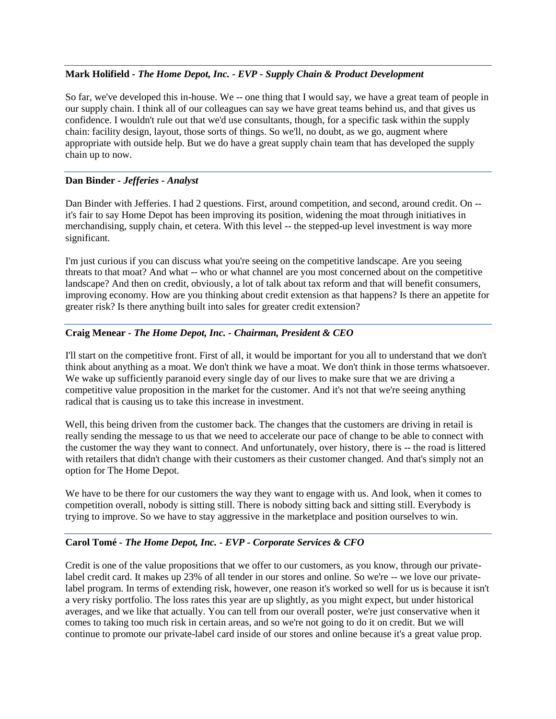## **Mark Holifield** *- The Home Depot, Inc. - EVP - Supply Chain & Product Development*

So far, we've developed this in-house. We -- one thing that I would say, we have a great team of people in our supply chain. I think all of our colleagues can say we have great teams behind us, and that gives us confidence. I wouldn't rule out that we'd use consultants, though, for a specific task within the supply chain: facility design, layout, those sorts of things. So we'll, no doubt, as we go, augment where appropriate with outside help. But we do have a great supply chain team that has developed the supply chain up to now.

# **Dan Binder** *- Jefferies - Analyst*

Dan Binder with Jefferies. I had 2 questions. First, around competition, and second, around credit. On - it's fair to say Home Depot has been improving its position, widening the moat through initiatives in merchandising, supply chain, et cetera. With this level -- the stepped-up level investment is way more significant.

I'm just curious if you can discuss what you're seeing on the competitive landscape. Are you seeing threats to that moat? And what -- who or what channel are you most concerned about on the competitive landscape? And then on credit, obviously, a lot of talk about tax reform and that will benefit consumers, improving economy. How are you thinking about credit extension as that happens? Is there an appetite for greater risk? Is there anything built into sales for greater credit extension?

# **Craig Menear** *- The Home Depot, Inc. - Chairman, President & CEO*

I'll start on the competitive front. First of all, it would be important for you all to understand that we don't think about anything as a moat. We don't think we have a moat. We don't think in those terms whatsoever. We wake up sufficiently paranoid every single day of our lives to make sure that we are driving a competitive value proposition in the market for the customer. And it's not that we're seeing anything radical that is causing us to take this increase in investment.

Well, this being driven from the customer back. The changes that the customers are driving in retail is really sending the message to us that we need to accelerate our pace of change to be able to connect with the customer the way they want to connect. And unfortunately, over history, there is -- the road is littered with retailers that didn't change with their customers as their customer changed. And that's simply not an option for The Home Depot.

We have to be there for our customers the way they want to engage with us. And look, when it comes to competition overall, nobody is sitting still. There is nobody sitting back and sitting still. Everybody is trying to improve. So we have to stay aggressive in the marketplace and position ourselves to win.

## **Carol Tomé** *- The Home Depot, Inc. - EVP - Corporate Services & CFO*

Credit is one of the value propositions that we offer to our customers, as you know, through our privatelabel credit card. It makes up 23% of all tender in our stores and online. So we're -- we love our privatelabel program. In terms of extending risk, however, one reason it's worked so well for us is because it isn't a very risky portfolio. The loss rates this year are up slightly, as you might expect, but under historical averages, and we like that actually. You can tell from our overall poster, we're just conservative when it comes to taking too much risk in certain areas, and so we're not going to do it on credit. But we will continue to promote our private-label card inside of our stores and online because it's a great value prop.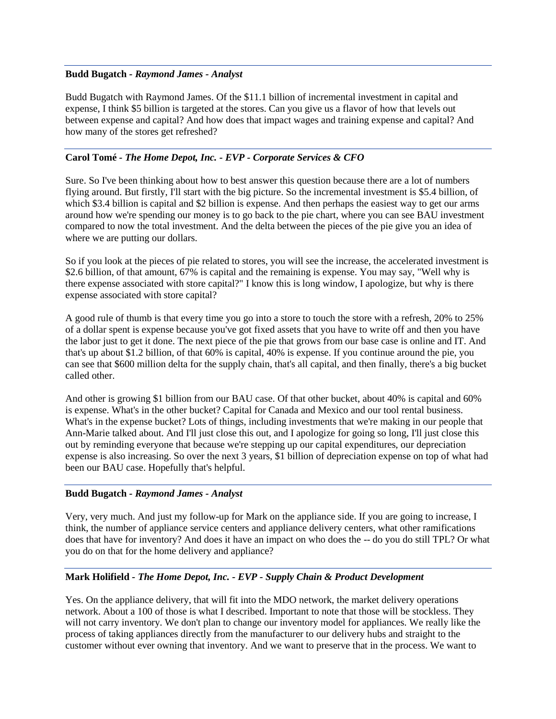## **Budd Bugatch** *- Raymond James - Analyst*

Budd Bugatch with Raymond James. Of the \$11.1 billion of incremental investment in capital and expense, I think \$5 billion is targeted at the stores. Can you give us a flavor of how that levels out between expense and capital? And how does that impact wages and training expense and capital? And how many of the stores get refreshed?

## **Carol Tomé** *- The Home Depot, Inc. - EVP - Corporate Services & CFO*

Sure. So I've been thinking about how to best answer this question because there are a lot of numbers flying around. But firstly, I'll start with the big picture. So the incremental investment is \$5.4 billion, of which \$3.4 billion is capital and \$2 billion is expense. And then perhaps the easiest way to get our arms around how we're spending our money is to go back to the pie chart, where you can see BAU investment compared to now the total investment. And the delta between the pieces of the pie give you an idea of where we are putting our dollars.

So if you look at the pieces of pie related to stores, you will see the increase, the accelerated investment is \$2.6 billion, of that amount, 67% is capital and the remaining is expense. You may say, "Well why is there expense associated with store capital?" I know this is long window, I apologize, but why is there expense associated with store capital?

A good rule of thumb is that every time you go into a store to touch the store with a refresh, 20% to 25% of a dollar spent is expense because you've got fixed assets that you have to write off and then you have the labor just to get it done. The next piece of the pie that grows from our base case is online and IT. And that's up about \$1.2 billion, of that 60% is capital, 40% is expense. If you continue around the pie, you can see that \$600 million delta for the supply chain, that's all capital, and then finally, there's a big bucket called other.

And other is growing \$1 billion from our BAU case. Of that other bucket, about 40% is capital and 60% is expense. What's in the other bucket? Capital for Canada and Mexico and our tool rental business. What's in the expense bucket? Lots of things, including investments that we're making in our people that Ann-Marie talked about. And I'll just close this out, and I apologize for going so long, I'll just close this out by reminding everyone that because we're stepping up our capital expenditures, our depreciation expense is also increasing. So over the next 3 years, \$1 billion of depreciation expense on top of what had been our BAU case. Hopefully that's helpful.

#### **Budd Bugatch** *- Raymond James - Analyst*

Very, very much. And just my follow-up for Mark on the appliance side. If you are going to increase, I think, the number of appliance service centers and appliance delivery centers, what other ramifications does that have for inventory? And does it have an impact on who does the -- do you do still TPL? Or what you do on that for the home delivery and appliance?

#### **Mark Holifield** *- The Home Depot, Inc. - EVP - Supply Chain & Product Development*

Yes. On the appliance delivery, that will fit into the MDO network, the market delivery operations network. About a 100 of those is what I described. Important to note that those will be stockless. They will not carry inventory. We don't plan to change our inventory model for appliances. We really like the process of taking appliances directly from the manufacturer to our delivery hubs and straight to the customer without ever owning that inventory. And we want to preserve that in the process. We want to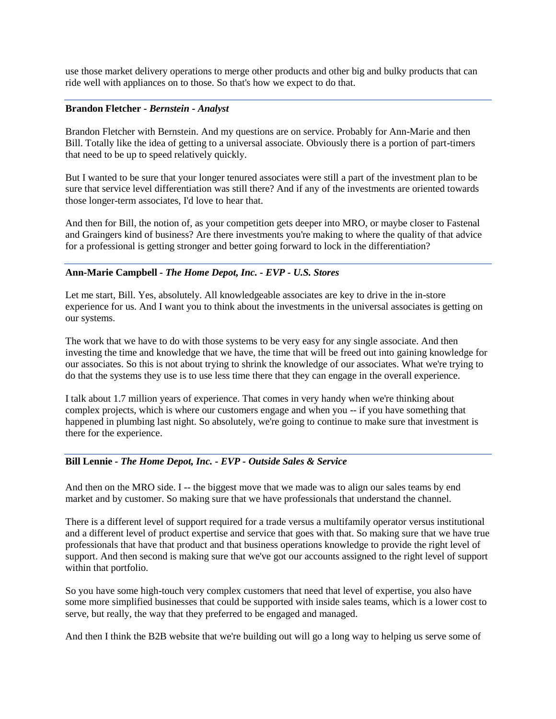use those market delivery operations to merge other products and other big and bulky products that can ride well with appliances on to those. So that's how we expect to do that.

#### **Brandon Fletcher** *- Bernstein - Analyst*

Brandon Fletcher with Bernstein. And my questions are on service. Probably for Ann-Marie and then Bill. Totally like the idea of getting to a universal associate. Obviously there is a portion of part-timers that need to be up to speed relatively quickly.

But I wanted to be sure that your longer tenured associates were still a part of the investment plan to be sure that service level differentiation was still there? And if any of the investments are oriented towards those longer-term associates, I'd love to hear that.

And then for Bill, the notion of, as your competition gets deeper into MRO, or maybe closer to Fastenal and Graingers kind of business? Are there investments you're making to where the quality of that advice for a professional is getting stronger and better going forward to lock in the differentiation?

## **Ann-Marie Campbell** *- The Home Depot, Inc. - EVP - U.S. Stores*

Let me start, Bill. Yes, absolutely. All knowledgeable associates are key to drive in the in-store experience for us. And I want you to think about the investments in the universal associates is getting on our systems.

The work that we have to do with those systems to be very easy for any single associate. And then investing the time and knowledge that we have, the time that will be freed out into gaining knowledge for our associates. So this is not about trying to shrink the knowledge of our associates. What we're trying to do that the systems they use is to use less time there that they can engage in the overall experience.

I talk about 1.7 million years of experience. That comes in very handy when we're thinking about complex projects, which is where our customers engage and when you -- if you have something that happened in plumbing last night. So absolutely, we're going to continue to make sure that investment is there for the experience.

#### **Bill Lennie** *- The Home Depot, Inc. - EVP - Outside Sales & Service*

And then on the MRO side. I -- the biggest move that we made was to align our sales teams by end market and by customer. So making sure that we have professionals that understand the channel.

There is a different level of support required for a trade versus a multifamily operator versus institutional and a different level of product expertise and service that goes with that. So making sure that we have true professionals that have that product and that business operations knowledge to provide the right level of support. And then second is making sure that we've got our accounts assigned to the right level of support within that portfolio.

So you have some high-touch very complex customers that need that level of expertise, you also have some more simplified businesses that could be supported with inside sales teams, which is a lower cost to serve, but really, the way that they preferred to be engaged and managed.

And then I think the B2B website that we're building out will go a long way to helping us serve some of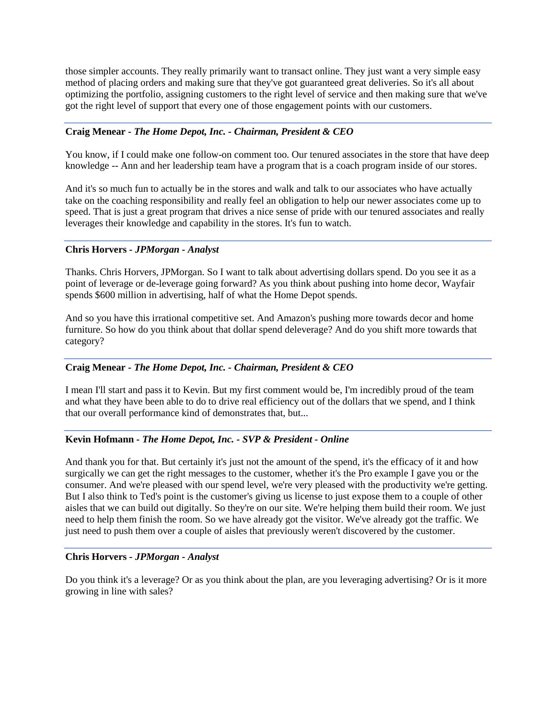those simpler accounts. They really primarily want to transact online. They just want a very simple easy method of placing orders and making sure that they've got guaranteed great deliveries. So it's all about optimizing the portfolio, assigning customers to the right level of service and then making sure that we've got the right level of support that every one of those engagement points with our customers.

# **Craig Menear** *- The Home Depot, Inc. - Chairman, President & CEO*

You know, if I could make one follow-on comment too. Our tenured associates in the store that have deep knowledge -- Ann and her leadership team have a program that is a coach program inside of our stores.

And it's so much fun to actually be in the stores and walk and talk to our associates who have actually take on the coaching responsibility and really feel an obligation to help our newer associates come up to speed. That is just a great program that drives a nice sense of pride with our tenured associates and really leverages their knowledge and capability in the stores. It's fun to watch.

## **Chris Horvers** *- JPMorgan - Analyst*

Thanks. Chris Horvers, JPMorgan. So I want to talk about advertising dollars spend. Do you see it as a point of leverage or de-leverage going forward? As you think about pushing into home decor, Wayfair spends \$600 million in advertising, half of what the Home Depot spends.

And so you have this irrational competitive set. And Amazon's pushing more towards decor and home furniture. So how do you think about that dollar spend deleverage? And do you shift more towards that category?

## **Craig Menear** *- The Home Depot, Inc. - Chairman, President & CEO*

I mean I'll start and pass it to Kevin. But my first comment would be, I'm incredibly proud of the team and what they have been able to do to drive real efficiency out of the dollars that we spend, and I think that our overall performance kind of demonstrates that, but...

## **Kevin Hofmann** *- The Home Depot, Inc. - SVP & President - Online*

And thank you for that. But certainly it's just not the amount of the spend, it's the efficacy of it and how surgically we can get the right messages to the customer, whether it's the Pro example I gave you or the consumer. And we're pleased with our spend level, we're very pleased with the productivity we're getting. But I also think to Ted's point is the customer's giving us license to just expose them to a couple of other aisles that we can build out digitally. So they're on our site. We're helping them build their room. We just need to help them finish the room. So we have already got the visitor. We've already got the traffic. We just need to push them over a couple of aisles that previously weren't discovered by the customer.

#### **Chris Horvers** *- JPMorgan - Analyst*

Do you think it's a leverage? Or as you think about the plan, are you leveraging advertising? Or is it more growing in line with sales?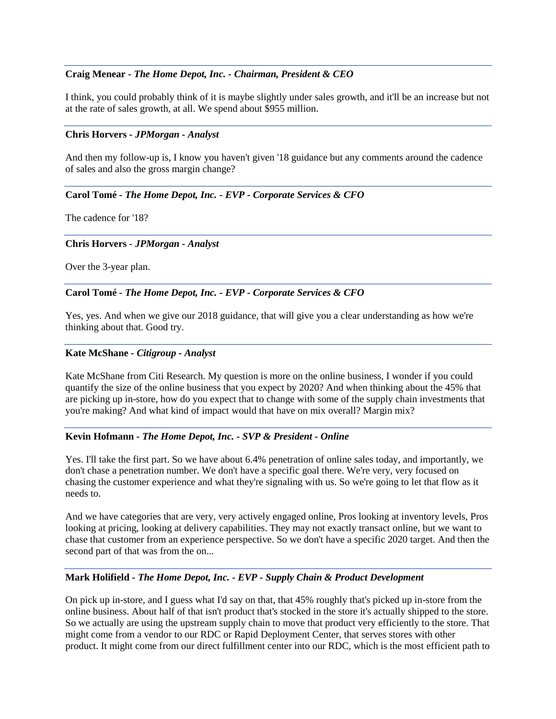## **Craig Menear** *- The Home Depot, Inc. - Chairman, President & CEO*

I think, you could probably think of it is maybe slightly under sales growth, and it'll be an increase but not at the rate of sales growth, at all. We spend about \$955 million.

#### **Chris Horvers** *- JPMorgan - Analyst*

And then my follow-up is, I know you haven't given '18 guidance but any comments around the cadence of sales and also the gross margin change?

#### **Carol Tomé** *- The Home Depot, Inc. - EVP - Corporate Services & CFO*

The cadence for '18?

#### **Chris Horvers** *- JPMorgan - Analyst*

Over the 3-year plan.

## **Carol Tomé** *- The Home Depot, Inc. - EVP - Corporate Services & CFO*

Yes, yes. And when we give our 2018 guidance, that will give you a clear understanding as how we're thinking about that. Good try.

#### **Kate McShane** *- Citigroup - Analyst*

Kate McShane from Citi Research. My question is more on the online business, I wonder if you could quantify the size of the online business that you expect by 2020? And when thinking about the 45% that are picking up in-store, how do you expect that to change with some of the supply chain investments that you're making? And what kind of impact would that have on mix overall? Margin mix?

## **Kevin Hofmann** *- The Home Depot, Inc. - SVP & President - Online*

Yes. I'll take the first part. So we have about 6.4% penetration of online sales today, and importantly, we don't chase a penetration number. We don't have a specific goal there. We're very, very focused on chasing the customer experience and what they're signaling with us. So we're going to let that flow as it needs to.

And we have categories that are very, very actively engaged online, Pros looking at inventory levels, Pros looking at pricing, looking at delivery capabilities. They may not exactly transact online, but we want to chase that customer from an experience perspective. So we don't have a specific 2020 target. And then the second part of that was from the on...

## **Mark Holifield** *- The Home Depot, Inc. - EVP - Supply Chain & Product Development*

On pick up in-store, and I guess what I'd say on that, that 45% roughly that's picked up in-store from the online business. About half of that isn't product that's stocked in the store it's actually shipped to the store. So we actually are using the upstream supply chain to move that product very efficiently to the store. That might come from a vendor to our RDC or Rapid Deployment Center, that serves stores with other product. It might come from our direct fulfillment center into our RDC, which is the most efficient path to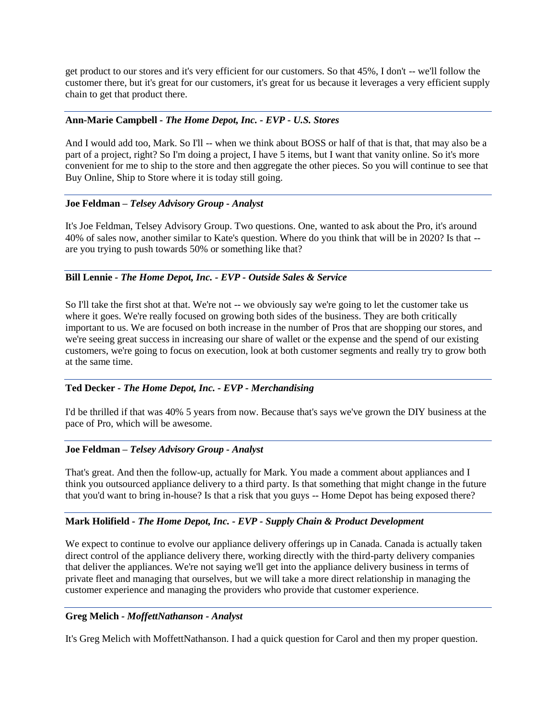get product to our stores and it's very efficient for our customers. So that 45%, I don't -- we'll follow the customer there, but it's great for our customers, it's great for us because it leverages a very efficient supply chain to get that product there.

# **Ann-Marie Campbell** *- The Home Depot, Inc. - EVP - U.S. Stores*

And I would add too, Mark. So I'll -- when we think about BOSS or half of that is that, that may also be a part of a project, right? So I'm doing a project, I have 5 items, but I want that vanity online. So it's more convenient for me to ship to the store and then aggregate the other pieces. So you will continue to see that Buy Online, Ship to Store where it is today still going.

## **Joe Feldman** *– Telsey Advisory Group - Analyst*

It's Joe Feldman, Telsey Advisory Group. Two questions. One, wanted to ask about the Pro, it's around 40% of sales now, another similar to Kate's question. Where do you think that will be in 2020? Is that - are you trying to push towards 50% or something like that?

# **Bill Lennie** *- The Home Depot, Inc. - EVP - Outside Sales & Service*

So I'll take the first shot at that. We're not -- we obviously say we're going to let the customer take us where it goes. We're really focused on growing both sides of the business. They are both critically important to us. We are focused on both increase in the number of Pros that are shopping our stores, and we're seeing great success in increasing our share of wallet or the expense and the spend of our existing customers, we're going to focus on execution, look at both customer segments and really try to grow both at the same time.

## **Ted Decker** *- The Home Depot, Inc. - EVP - Merchandising*

I'd be thrilled if that was 40% 5 years from now. Because that's says we've grown the DIY business at the pace of Pro, which will be awesome.

## **Joe Feldman** *– Telsey Advisory Group - Analyst*

That's great. And then the follow-up, actually for Mark. You made a comment about appliances and I think you outsourced appliance delivery to a third party. Is that something that might change in the future that you'd want to bring in-house? Is that a risk that you guys -- Home Depot has being exposed there?

## **Mark Holifield** *- The Home Depot, Inc. - EVP - Supply Chain & Product Development*

We expect to continue to evolve our appliance delivery offerings up in Canada. Canada is actually taken direct control of the appliance delivery there, working directly with the third-party delivery companies that deliver the appliances. We're not saying we'll get into the appliance delivery business in terms of private fleet and managing that ourselves, but we will take a more direct relationship in managing the customer experience and managing the providers who provide that customer experience.

## **Greg Melich** *- MoffettNathanson - Analyst*

It's Greg Melich with MoffettNathanson. I had a quick question for Carol and then my proper question.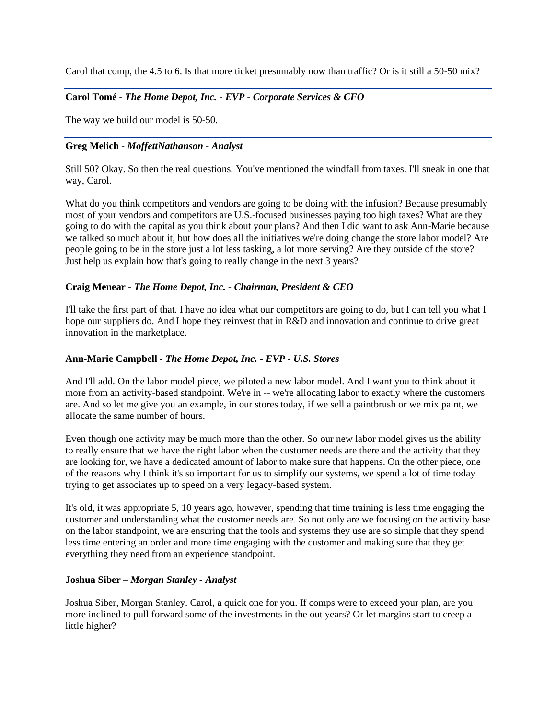Carol that comp, the 4.5 to 6. Is that more ticket presumably now than traffic? Or is it still a 50-50 mix?

# **Carol Tomé** *- The Home Depot, Inc. - EVP - Corporate Services & CFO*

The way we build our model is 50-50.

# **Greg Melich** *- MoffettNathanson - Analyst*

Still 50? Okay. So then the real questions. You've mentioned the windfall from taxes. I'll sneak in one that way, Carol.

What do you think competitors and vendors are going to be doing with the infusion? Because presumably most of your vendors and competitors are U.S.-focused businesses paying too high taxes? What are they going to do with the capital as you think about your plans? And then I did want to ask Ann-Marie because we talked so much about it, but how does all the initiatives we're doing change the store labor model? Are people going to be in the store just a lot less tasking, a lot more serving? Are they outside of the store? Just help us explain how that's going to really change in the next 3 years?

# **Craig Menear** *- The Home Depot, Inc. - Chairman, President & CEO*

I'll take the first part of that. I have no idea what our competitors are going to do, but I can tell you what I hope our suppliers do. And I hope they reinvest that in R&D and innovation and continue to drive great innovation in the marketplace.

# **Ann-Marie Campbell** *- The Home Depot, Inc. - EVP - U.S. Stores*

And I'll add. On the labor model piece, we piloted a new labor model. And I want you to think about it more from an activity-based standpoint. We're in -- we're allocating labor to exactly where the customers are. And so let me give you an example, in our stores today, if we sell a paintbrush or we mix paint, we allocate the same number of hours.

Even though one activity may be much more than the other. So our new labor model gives us the ability to really ensure that we have the right labor when the customer needs are there and the activity that they are looking for, we have a dedicated amount of labor to make sure that happens. On the other piece, one of the reasons why I think it's so important for us to simplify our systems, we spend a lot of time today trying to get associates up to speed on a very legacy-based system.

It's old, it was appropriate 5, 10 years ago, however, spending that time training is less time engaging the customer and understanding what the customer needs are. So not only are we focusing on the activity base on the labor standpoint, we are ensuring that the tools and systems they use are so simple that they spend less time entering an order and more time engaging with the customer and making sure that they get everything they need from an experience standpoint.

## **Joshua Siber** *– Morgan Stanley - Analyst*

Joshua Siber, Morgan Stanley. Carol, a quick one for you. If comps were to exceed your plan, are you more inclined to pull forward some of the investments in the out years? Or let margins start to creep a little higher?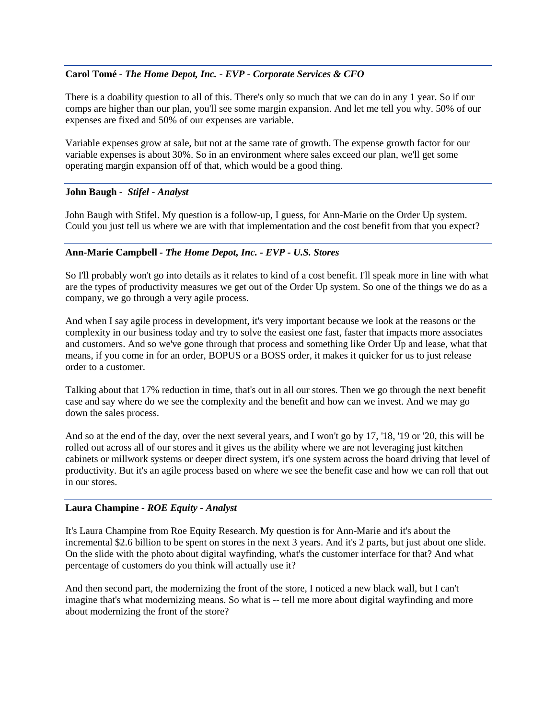# **Carol Tomé** *- The Home Depot, Inc. - EVP - Corporate Services & CFO*

There is a doability question to all of this. There's only so much that we can do in any 1 year. So if our comps are higher than our plan, you'll see some margin expansion. And let me tell you why. 50% of our expenses are fixed and 50% of our expenses are variable.

Variable expenses grow at sale, but not at the same rate of growth. The expense growth factor for our variable expenses is about 30%. So in an environment where sales exceed our plan, we'll get some operating margin expansion off of that, which would be a good thing.

## **John Baugh** *- Stifel - Analyst*

John Baugh with Stifel. My question is a follow-up, I guess, for Ann-Marie on the Order Up system. Could you just tell us where we are with that implementation and the cost benefit from that you expect?

# **Ann-Marie Campbell** *- The Home Depot, Inc. - EVP - U.S. Stores*

So I'll probably won't go into details as it relates to kind of a cost benefit. I'll speak more in line with what are the types of productivity measures we get out of the Order Up system. So one of the things we do as a company, we go through a very agile process.

And when I say agile process in development, it's very important because we look at the reasons or the complexity in our business today and try to solve the easiest one fast, faster that impacts more associates and customers. And so we've gone through that process and something like Order Up and lease, what that means, if you come in for an order, BOPUS or a BOSS order, it makes it quicker for us to just release order to a customer.

Talking about that 17% reduction in time, that's out in all our stores. Then we go through the next benefit case and say where do we see the complexity and the benefit and how can we invest. And we may go down the sales process.

And so at the end of the day, over the next several years, and I won't go by 17, '18, '19 or '20, this will be rolled out across all of our stores and it gives us the ability where we are not leveraging just kitchen cabinets or millwork systems or deeper direct system, it's one system across the board driving that level of productivity. But it's an agile process based on where we see the benefit case and how we can roll that out in our stores.

#### **Laura Champine** *- ROE Equity - Analyst*

It's Laura Champine from Roe Equity Research. My question is for Ann-Marie and it's about the incremental \$2.6 billion to be spent on stores in the next 3 years. And it's 2 parts, but just about one slide. On the slide with the photo about digital wayfinding, what's the customer interface for that? And what percentage of customers do you think will actually use it?

And then second part, the modernizing the front of the store, I noticed a new black wall, but I can't imagine that's what modernizing means. So what is -- tell me more about digital wayfinding and more about modernizing the front of the store?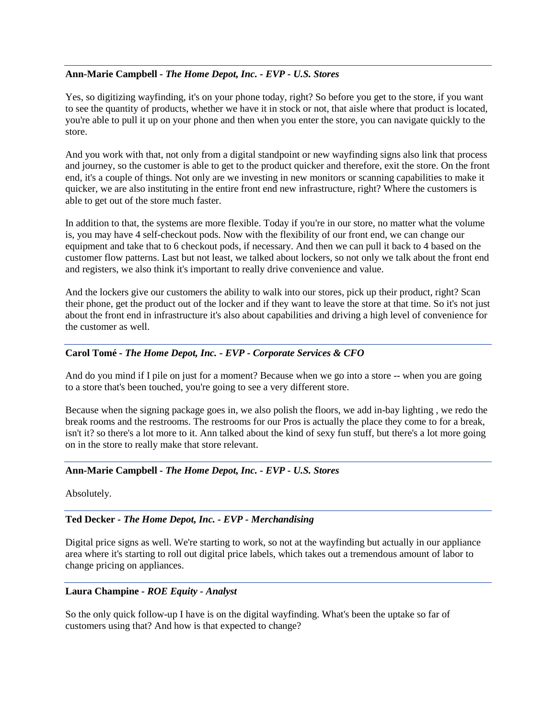# **Ann-Marie Campbell** *- The Home Depot, Inc. - EVP - U.S. Stores*

Yes, so digitizing wayfinding, it's on your phone today, right? So before you get to the store, if you want to see the quantity of products, whether we have it in stock or not, that aisle where that product is located, you're able to pull it up on your phone and then when you enter the store, you can navigate quickly to the store.

And you work with that, not only from a digital standpoint or new wayfinding signs also link that process and journey, so the customer is able to get to the product quicker and therefore, exit the store. On the front end, it's a couple of things. Not only are we investing in new monitors or scanning capabilities to make it quicker, we are also instituting in the entire front end new infrastructure, right? Where the customers is able to get out of the store much faster.

In addition to that, the systems are more flexible. Today if you're in our store, no matter what the volume is, you may have 4 self-checkout pods. Now with the flexibility of our front end, we can change our equipment and take that to 6 checkout pods, if necessary. And then we can pull it back to 4 based on the customer flow patterns. Last but not least, we talked about lockers, so not only we talk about the front end and registers, we also think it's important to really drive convenience and value.

And the lockers give our customers the ability to walk into our stores, pick up their product, right? Scan their phone, get the product out of the locker and if they want to leave the store at that time. So it's not just about the front end in infrastructure it's also about capabilities and driving a high level of convenience for the customer as well.

# **Carol Tomé** *- The Home Depot, Inc. - EVP - Corporate Services & CFO*

And do you mind if I pile on just for a moment? Because when we go into a store -- when you are going to a store that's been touched, you're going to see a very different store.

Because when the signing package goes in, we also polish the floors, we add in-bay lighting , we redo the break rooms and the restrooms. The restrooms for our Pros is actually the place they come to for a break, isn't it? so there's a lot more to it. Ann talked about the kind of sexy fun stuff, but there's a lot more going on in the store to really make that store relevant.

## **Ann-Marie Campbell** *- The Home Depot, Inc. - EVP - U.S. Stores*

Absolutely.

## **Ted Decker** *- The Home Depot, Inc. - EVP - Merchandising*

Digital price signs as well. We're starting to work, so not at the wayfinding but actually in our appliance area where it's starting to roll out digital price labels, which takes out a tremendous amount of labor to change pricing on appliances.

#### **Laura Champine** *- ROE Equity - Analyst*

So the only quick follow-up I have is on the digital wayfinding. What's been the uptake so far of customers using that? And how is that expected to change?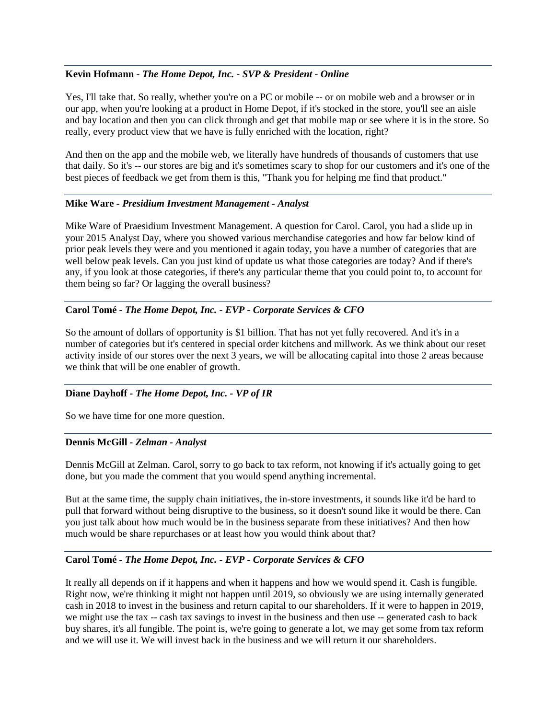# **Kevin Hofmann** *- The Home Depot, Inc. - SVP & President - Online*

Yes, I'll take that. So really, whether you're on a PC or mobile -- or on mobile web and a browser or in our app, when you're looking at a product in Home Depot, if it's stocked in the store, you'll see an aisle and bay location and then you can click through and get that mobile map or see where it is in the store. So really, every product view that we have is fully enriched with the location, right?

And then on the app and the mobile web, we literally have hundreds of thousands of customers that use that daily. So it's -- our stores are big and it's sometimes scary to shop for our customers and it's one of the best pieces of feedback we get from them is this, "Thank you for helping me find that product."

#### **Mike Ware** *- Presidium Investment Management - Analyst*

Mike Ware of Praesidium Investment Management. A question for Carol. Carol, you had a slide up in your 2015 Analyst Day, where you showed various merchandise categories and how far below kind of prior peak levels they were and you mentioned it again today, you have a number of categories that are well below peak levels. Can you just kind of update us what those categories are today? And if there's any, if you look at those categories, if there's any particular theme that you could point to, to account for them being so far? Or lagging the overall business?

# **Carol Tomé** *- The Home Depot, Inc. - EVP - Corporate Services & CFO*

So the amount of dollars of opportunity is \$1 billion. That has not yet fully recovered. And it's in a number of categories but it's centered in special order kitchens and millwork. As we think about our reset activity inside of our stores over the next  $\overline{3}$  years, we will be allocating capital into those 2 areas because we think that will be one enabler of growth.

## **Diane Dayhoff** *- The Home Depot, Inc. - VP of IR*

So we have time for one more question.

## **Dennis McGill** *- Zelman - Analyst*

Dennis McGill at Zelman. Carol, sorry to go back to tax reform, not knowing if it's actually going to get done, but you made the comment that you would spend anything incremental.

But at the same time, the supply chain initiatives, the in-store investments, it sounds like it'd be hard to pull that forward without being disruptive to the business, so it doesn't sound like it would be there. Can you just talk about how much would be in the business separate from these initiatives? And then how much would be share repurchases or at least how you would think about that?

## **Carol Tomé** *- The Home Depot, Inc. - EVP - Corporate Services & CFO*

It really all depends on if it happens and when it happens and how we would spend it. Cash is fungible. Right now, we're thinking it might not happen until 2019, so obviously we are using internally generated cash in 2018 to invest in the business and return capital to our shareholders. If it were to happen in 2019, we might use the tax -- cash tax savings to invest in the business and then use -- generated cash to back buy shares, it's all fungible. The point is, we're going to generate a lot, we may get some from tax reform and we will use it. We will invest back in the business and we will return it our shareholders.